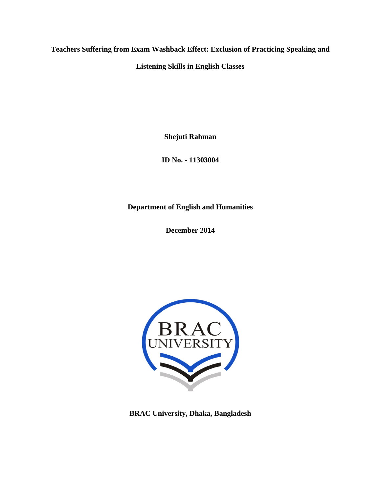**Teachers Suffering from Exam Washback Effect: Exclusion of Practicing Speaking and** 

**Listening Skills in English Classes** 

**Shejuti Rahman** 

**ID No. - 11303004** 

**Department of English and Humanities** 

**December 2014** 



**BRAC University, Dhaka, Bangladesh**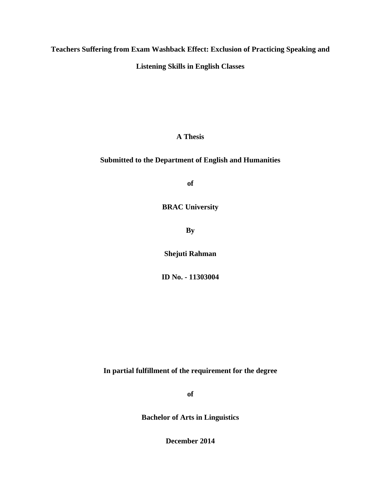**Teachers Suffering from Exam Washback Effect: Exclusion of Practicing Speaking and** 

**Listening Skills in English Classes** 

**A Thesis** 

### **Submitted to the Department of English and Humanities**

**of** 

**BRAC University** 

**By** 

**Shejuti Rahman** 

**ID No. - 11303004** 

**In partial fulfillment of the requirement for the degree** 

**of** 

**Bachelor of Arts in Linguistics** 

**December 2014**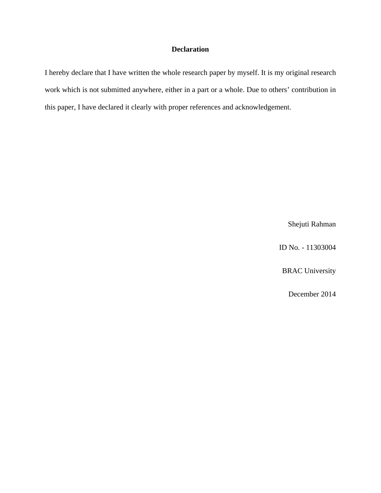### **Declaration**

I hereby declare that I have written the whole research paper by myself. It is my original research work which is not submitted anywhere, either in a part or a whole. Due to others' contribution in this paper, I have declared it clearly with proper references and acknowledgement.

Shejuti Rahman

ID No. - 11303004

BRAC University

December 2014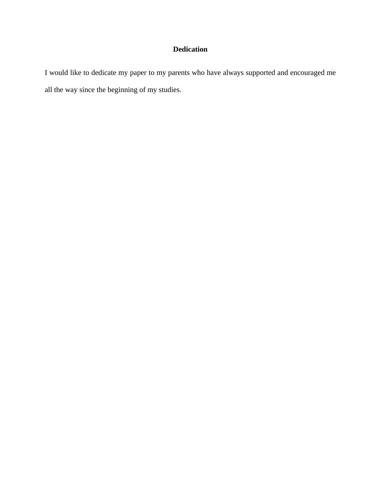# **Dedication**

I would like to dedicate my paper to my parents who have always supported and encouraged me all the way since the beginning of my studies.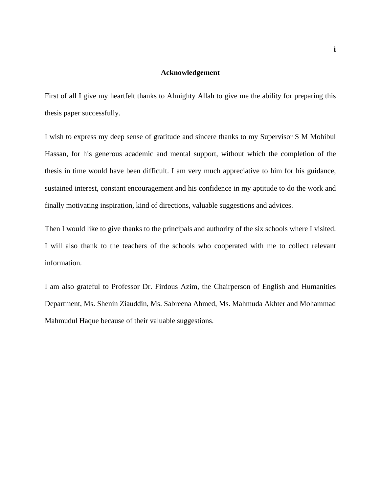### **Acknowledgement**

First of all I give my heartfelt thanks to Almighty Allah to give me the ability for preparing this thesis paper successfully.

I wish to express my deep sense of gratitude and sincere thanks to my Supervisor S M Mohibul Hassan, for his generous academic and mental support, without which the completion of the thesis in time would have been difficult. I am very much appreciative to him for his guidance, sustained interest, constant encouragement and his confidence in my aptitude to do the work and finally motivating inspiration, kind of directions, valuable suggestions and advices.

Then I would like to give thanks to the principals and authority of the six schools where I visited. I will also thank to the teachers of the schools who cooperated with me to collect relevant information.

I am also grateful to Professor Dr. Firdous Azim, the Chairperson of English and Humanities Department, Ms. Shenin Ziauddin, Ms. Sabreena Ahmed, Ms. Mahmuda Akhter and Mohammad Mahmudul Haque because of their valuable suggestions.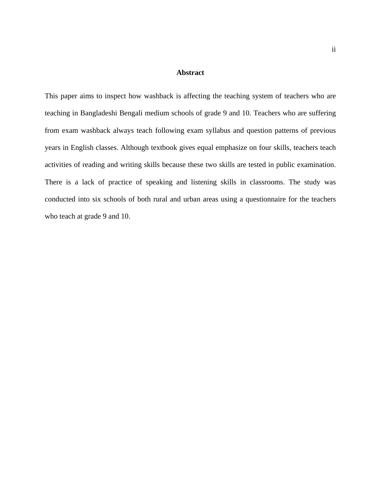#### **Abstract**

This paper aims to inspect how washback is affecting the teaching system of teachers who are teaching in Bangladeshi Bengali medium schools of grade 9 and 10. Teachers who are suffering from exam washback always teach following exam syllabus and question patterns of previous years in English classes. Although textbook gives equal emphasize on four skills, teachers teach activities of reading and writing skills because these two skills are tested in public examination. There is a lack of practice of speaking and listening skills in classrooms. The study was conducted into six schools of both rural and urban areas using a questionnaire for the teachers who teach at grade 9 and 10.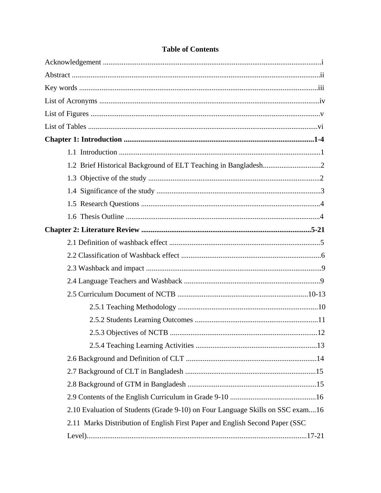| 2.10 Evaluation of Students (Grade 9-10) on Four Language Skills on SSC exam16 |  |
|--------------------------------------------------------------------------------|--|
| 2.11 Marks Distribution of English First Paper and English Second Paper (SSC)  |  |
|                                                                                |  |

# **Table of Contents**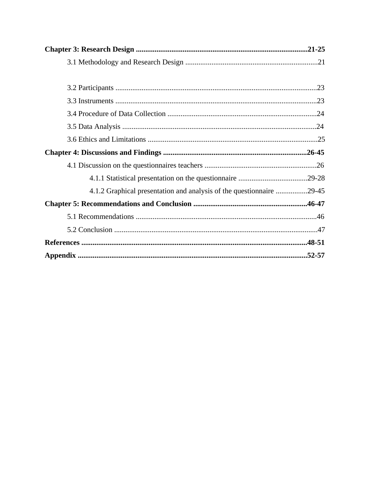| 4.1.2 Graphical presentation and analysis of the questionnaire 29-45 |  |
|----------------------------------------------------------------------|--|
|                                                                      |  |
|                                                                      |  |
|                                                                      |  |
|                                                                      |  |
|                                                                      |  |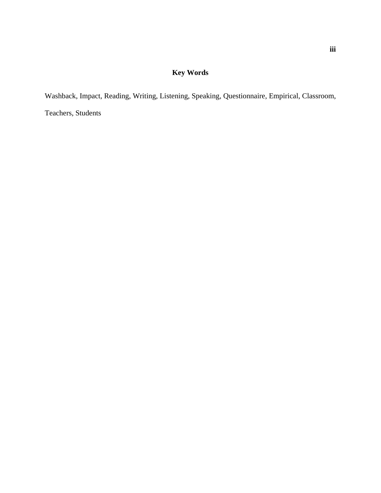# **Key Words**

Washback, Impact, Reading, Writing, Listening, Speaking, Questionnaire, Empirical, Classroom, Teachers, Students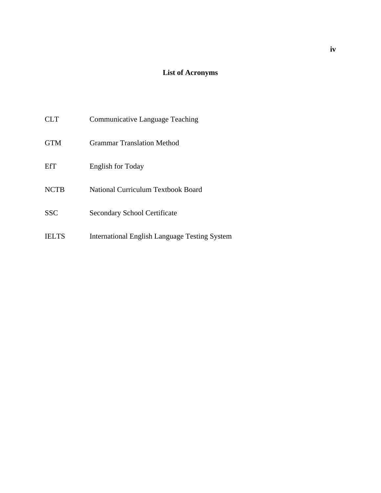# **List of Acronyms**

| CLT.         | Communicative Language Teaching                      |
|--------------|------------------------------------------------------|
| <b>GTM</b>   | <b>Grammar Translation Method</b>                    |
| EfT          | <b>English for Today</b>                             |
| <b>NCTB</b>  | <b>National Curriculum Textbook Board</b>            |
| <b>SSC</b>   | <b>Secondary School Certificate</b>                  |
| <b>TELTS</b> | <b>International English Language Testing System</b> |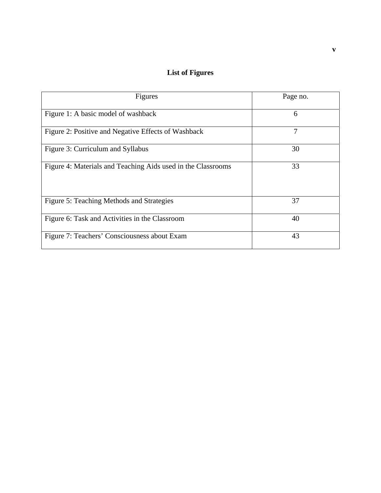# **List of Figures**

| Figures                                                      | Page no. |
|--------------------------------------------------------------|----------|
| Figure 1: A basic model of washback                          | 6        |
| Figure 2: Positive and Negative Effects of Washback          | 7        |
| Figure 3: Curriculum and Syllabus                            | 30       |
| Figure 4: Materials and Teaching Aids used in the Classrooms | 33       |
| Figure 5: Teaching Methods and Strategies                    | 37       |
| Figure 6: Task and Activities in the Classroom               | 40       |
| Figure 7: Teachers' Consciousness about Exam                 | 43       |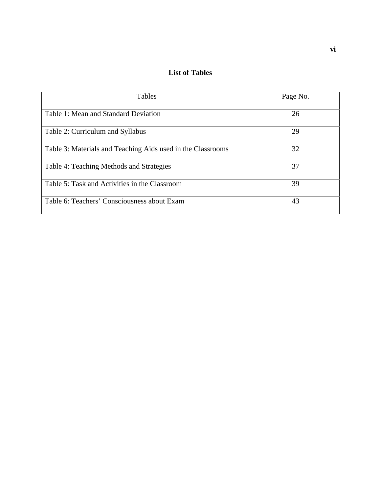**List of Tables** 

| Tables                                                      | Page No. |
|-------------------------------------------------------------|----------|
| Table 1: Mean and Standard Deviation                        | 26       |
| Table 2: Curriculum and Syllabus                            | 29       |
| Table 3: Materials and Teaching Aids used in the Classrooms | 32       |
| Table 4: Teaching Methods and Strategies                    | 37       |
| Table 5: Task and Activities in the Classroom               | 39       |
| Table 6: Teachers' Consciousness about Exam                 | 43       |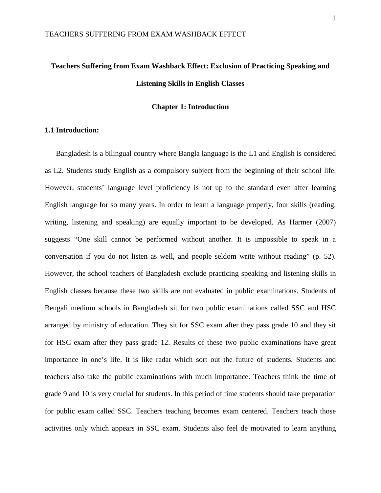# **Teachers Suffering from Exam Washback Effect: Exclusion of Practicing Speaking and Listening Skills in English Classes**

### **Chapter 1: Introduction**

#### **1.1 Introduction:**

Bangladesh is a bilingual country where Bangla language is the L1 and English is considered as L2. Students study English as a compulsory subject from the beginning of their school life. However, students' language level proficiency is not up to the standard even after learning English language for so many years. In order to learn a language properly, four skills (reading, writing, listening and speaking) are equally important to be developed. As Harmer (2007) suggests "One skill cannot be performed without another. It is impossible to speak in a conversation if you do not listen as well, and people seldom write without reading" (p. 52). However, the school teachers of Bangladesh exclude practicing speaking and listening skills in English classes because these two skills are not evaluated in public examinations. Students of Bengali medium schools in Bangladesh sit for two public examinations called SSC and HSC arranged by ministry of education. They sit for SSC exam after they pass grade 10 and they sit for HSC exam after they pass grade 12. Results of these two public examinations have great importance in one's life. It is like radar which sort out the future of students. Students and teachers also take the public examinations with much importance. Teachers think the time of grade 9 and 10 is very crucial for students. In this period of time students should take preparation for public exam called SSC. Teachers teaching becomes exam centered. Teachers teach those activities only which appears in SSC exam. Students also feel de motivated to learn anything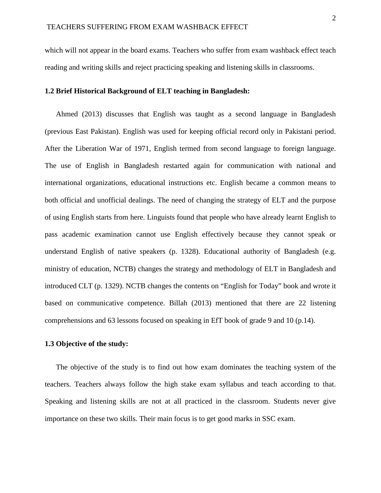which will not appear in the board exams. Teachers who suffer from exam washback effect teach reading and writing skills and reject practicing speaking and listening skills in classrooms.

#### **1.2 Brief Historical Background of ELT teaching in Bangladesh:**

Ahmed (2013) discusses that English was taught as a second language in Bangladesh (previous East Pakistan). English was used for keeping official record only in Pakistani period. After the Liberation War of 1971, English termed from second language to foreign language. The use of English in Bangladesh restarted again for communication with national and international organizations, educational instructions etc. English became a common means to both official and unofficial dealings. The need of changing the strategy of ELT and the purpose of using English starts from here. Linguists found that people who have already learnt English to pass academic examination cannot use English effectively because they cannot speak or understand English of native speakers (p. 1328). Educational authority of Bangladesh (e.g. ministry of education, NCTB) changes the strategy and methodology of ELT in Bangladesh and introduced CLT (p. 1329). NCTB changes the contents on "English for Today" book and wrote it based on communicative competence. Billah (2013) mentioned that there are 22 listening comprehensions and 63 lessons focused on speaking in EfT book of grade 9 and 10 (p.14).

#### **1.3 Objective of the study:**

The objective of the study is to find out how exam dominates the teaching system of the teachers. Teachers always follow the high stake exam syllabus and teach according to that. Speaking and listening skills are not at all practiced in the classroom. Students never give importance on these two skills. Their main focus is to get good marks in SSC exam.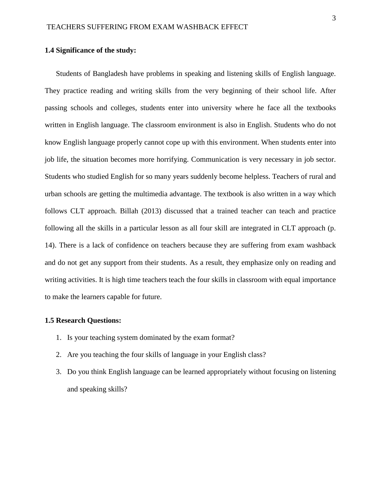#### **1.4 Significance of the study:**

Students of Bangladesh have problems in speaking and listening skills of English language. They practice reading and writing skills from the very beginning of their school life. After passing schools and colleges, students enter into university where he face all the textbooks written in English language. The classroom environment is also in English. Students who do not know English language properly cannot cope up with this environment. When students enter into job life, the situation becomes more horrifying. Communication is very necessary in job sector. Students who studied English for so many years suddenly become helpless. Teachers of rural and urban schools are getting the multimedia advantage. The textbook is also written in a way which follows CLT approach. Billah (2013) discussed that a trained teacher can teach and practice following all the skills in a particular lesson as all four skill are integrated in CLT approach (p. 14). There is a lack of confidence on teachers because they are suffering from exam washback and do not get any support from their students. As a result, they emphasize only on reading and writing activities. It is high time teachers teach the four skills in classroom with equal importance to make the learners capable for future.

#### **1.5 Research Questions:**

- 1. Is your teaching system dominated by the exam format?
- 2. Are you teaching the four skills of language in your English class?
- 3. Do you think English language can be learned appropriately without focusing on listening and speaking skills?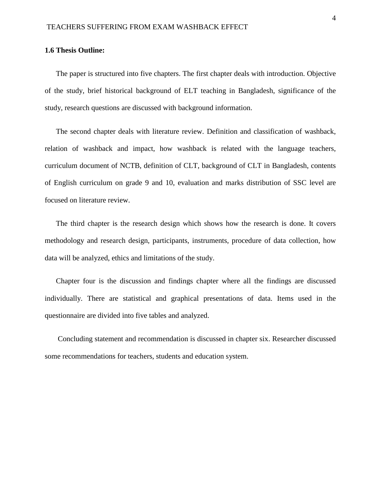#### **1.6 Thesis Outline:**

The paper is structured into five chapters. The first chapter deals with introduction. Objective of the study, brief historical background of ELT teaching in Bangladesh, significance of the study, research questions are discussed with background information.

The second chapter deals with literature review. Definition and classification of washback, relation of washback and impact, how washback is related with the language teachers, curriculum document of NCTB, definition of CLT, background of CLT in Bangladesh, contents of English curriculum on grade 9 and 10, evaluation and marks distribution of SSC level are focused on literature review.

The third chapter is the research design which shows how the research is done. It covers methodology and research design, participants, instruments, procedure of data collection, how data will be analyzed, ethics and limitations of the study.

Chapter four is the discussion and findings chapter where all the findings are discussed individually. There are statistical and graphical presentations of data. Items used in the questionnaire are divided into five tables and analyzed.

Concluding statement and recommendation is discussed in chapter six. Researcher discussed some recommendations for teachers, students and education system.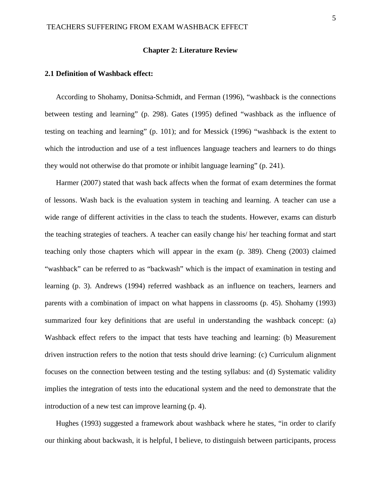#### **Chapter 2: Literature Review**

#### **2.1 Definition of Washback effect:**

According to Shohamy, Donitsa-Schmidt, and Ferman (1996), "washback is the connections between testing and learning" (p. 298). Gates (1995) defined "washback as the influence of testing on teaching and learning" (p. 101); and for Messick (1996) "washback is the extent to which the introduction and use of a test influences language teachers and learners to do things they would not otherwise do that promote or inhibit language learning" (p. 241).

Harmer (2007) stated that wash back affects when the format of exam determines the format of lessons. Wash back is the evaluation system in teaching and learning. A teacher can use a wide range of different activities in the class to teach the students. However, exams can disturb the teaching strategies of teachers. A teacher can easily change his/ her teaching format and start teaching only those chapters which will appear in the exam (p. 389). Cheng (2003) claimed "washback" can be referred to as "backwash" which is the impact of examination in testing and learning (p. 3). Andrews (1994) referred washback as an influence on teachers, learners and parents with a combination of impact on what happens in classrooms (p. 45). Shohamy (1993) summarized four key definitions that are useful in understanding the washback concept: (a) Washback effect refers to the impact that tests have teaching and learning: (b) Measurement driven instruction refers to the notion that tests should drive learning: (c) Curriculum alignment focuses on the connection between testing and the testing syllabus: and (d) Systematic validity implies the integration of tests into the educational system and the need to demonstrate that the introduction of a new test can improve learning (p. 4).

Hughes (1993) suggested a framework about washback where he states, "in order to clarify our thinking about backwash, it is helpful, I believe, to distinguish between participants, process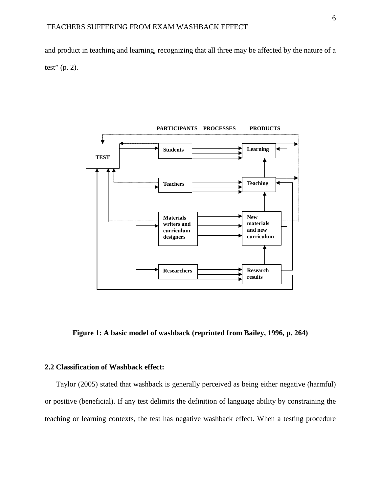and product in teaching and learning, recognizing that all three may be affected by the nature of a test" (p. 2).



**Figure 1: A basic model of washback (reprinted from Bailey, 1996, p. 264)**

### **2.2 Classification of Washback effect:**

Taylor (2005) stated that washback is generally perceived as being either negative (harmful) or positive (beneficial). If any test delimits the definition of language ability by constraining the teaching or learning contexts, the test has negative washback effect. When a testing procedure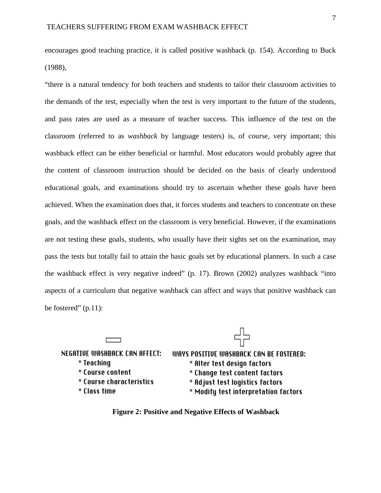encourages good teaching practice, it is called positive washback (p. 154). According to Buck (1988),

"there is a natural tendency for both teachers and students to tailor their classroom activities to the demands of the test, especially when the test is very important to the future of the students, and pass rates are used as a measure of teacher success. This influence of the test on the classroom (referred to as *washback* by language testers) is, of course, very important; this washback effect can be either beneficial or harmful. Most educators would probably agree that the content of classroom instruction should be decided on the basis of clearly understood educational goals, and examinations should try to ascertain whether these goals have been achieved. When the examination does that, it forces students and teachers to concentrate on these goals, and the washback effect on the classroom is very beneficial. However, if the examinations are not testing these goals, students, who usually have their sights set on the examination, may pass the tests but totally fail to attain the basic goals set by educational planners. In such a case the washback effect is very negative indeed" (p. 17). Brown (2002) analyzes washback "into aspects of a curriculum that negative washback can affect and ways that positive washback can be fostered"  $(p.11)$ :

NEGATIVE WASHBACK CAN AFFECT: WAYS POSITIVE WASHBACK CAN BE FOSTERED: \* Teaching \* Alter test design factors \* Course content \* Change test content factors \* Course characteristics \* Adjust test logistics factors \* Class time \* Modify test interpretation factors

**Figure 2: Positive and Negative Effects of Washback**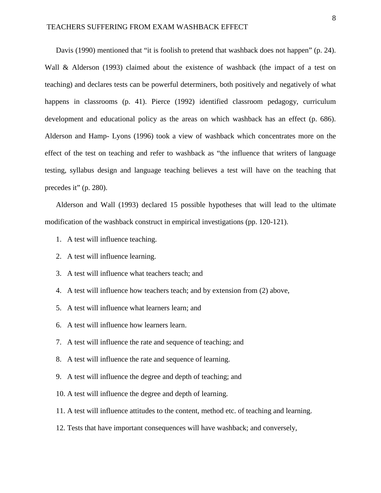Davis (1990) mentioned that "it is foolish to pretend that washback does not happen" (p. 24). Wall & Alderson (1993) claimed about the existence of washback (the impact of a test on teaching) and declares tests can be powerful determiners, both positively and negatively of what happens in classrooms (p. 41). Pierce (1992) identified classroom pedagogy, curriculum development and educational policy as the areas on which washback has an effect (p. 686). Alderson and Hamp- Lyons (1996) took a view of washback which concentrates more on the effect of the test on teaching and refer to washback as "the influence that writers of language testing, syllabus design and language teaching believes a test will have on the teaching that precedes it" (p. 280).

Alderson and Wall (1993) declared 15 possible hypotheses that will lead to the ultimate modification of the washback construct in empirical investigations (pp. 120-121).

- 1. A test will influence teaching.
- 2. A test will influence learning.
- 3. A test will influence what teachers teach; and
- 4. A test will influence how teachers teach; and by extension from (2) above,
- 5. A test will influence what learners learn; and
- 6. A test will influence how learners learn.
- 7. A test will influence the rate and sequence of teaching; and
- 8. A test will influence the rate and sequence of learning.
- 9. A test will influence the degree and depth of teaching; and
- 10. A test will influence the degree and depth of learning.
- 11. A test will influence attitudes to the content, method etc. of teaching and learning.
- 12. Tests that have important consequences will have washback; and conversely,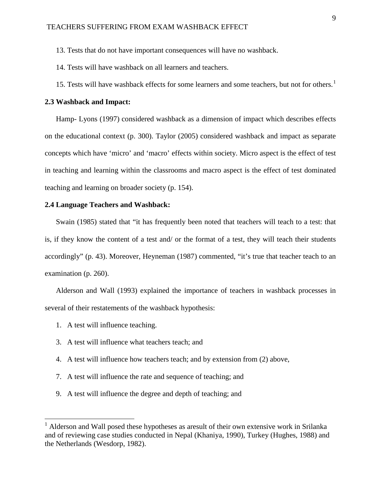13. Tests that do not have important consequences will have no washback.

14. Tests will have washback on all learners and teachers.

[1](#page-20-0)5. Tests will have washback effects for some learners and some teachers, but not for others.<sup>1</sup>

#### **2.3 Washback and Impact:**

Hamp- Lyons (1997) considered washback as a dimension of impact which describes effects on the educational context (p. 300). Taylor (2005) considered washback and impact as separate concepts which have 'micro' and 'macro' effects within society. Micro aspect is the effect of test in teaching and learning within the classrooms and macro aspect is the effect of test dominated teaching and learning on broader society (p. 154).

#### **2.4 Language Teachers and Washback:**

Swain (1985) stated that "it has frequently been noted that teachers will teach to a test: that is, if they know the content of a test and/ or the format of a test, they will teach their students accordingly" (p. 43). Moreover, Heyneman (1987) commented, "it's true that teacher teach to an examination (p. 260).

Alderson and Wall (1993) explained the importance of teachers in washback processes in several of their restatements of the washback hypothesis:

- 1. A test will influence teaching.
- 3. A test will influence what teachers teach; and
- 4. A test will influence how teachers teach; and by extension from (2) above,
- 7. A test will influence the rate and sequence of teaching; and
- 9. A test will influence the degree and depth of teaching; and

<span id="page-20-0"></span><sup>&</sup>lt;sup>1</sup> Alderson and Wall posed these hypotheses as aresult of their own extensive work in Srilanka and of reviewing case studies conducted in Nepal (Khaniya, 1990), Turkey (Hughes, 1988) and the Netherlands (Wesdorp, 1982).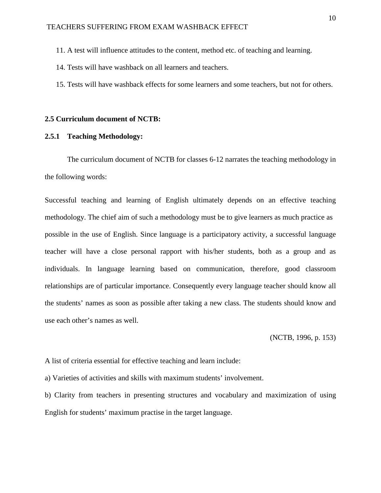- 11. A test will influence attitudes to the content, method etc. of teaching and learning.
- 14. Tests will have washback on all learners and teachers.
- 15. Tests will have washback effects for some learners and some teachers, but not for others.

#### **2.5 Curriculum document of NCTB:**

#### **2.5.1 Teaching Methodology:**

The curriculum document of NCTB for classes 6-12 narrates the teaching methodology in the following words:

Successful teaching and learning of English ultimately depends on an effective teaching methodology. The chief aim of such a methodology must be to give learners as much practice as possible in the use of English. Since language is a participatory activity, a successful language teacher will have a close personal rapport with his/her students, both as a group and as individuals. In language learning based on communication, therefore, good classroom relationships are of particular importance. Consequently every language teacher should know all the students' names as soon as possible after taking a new class. The students should know and use each other's names as well.

(NCTB, 1996, p. 153)

A list of criteria essential for effective teaching and learn include:

a) Varieties of activities and skills with maximum students' involvement.

b) Clarity from teachers in presenting structures and vocabulary and maximization of using English for students' maximum practise in the target language.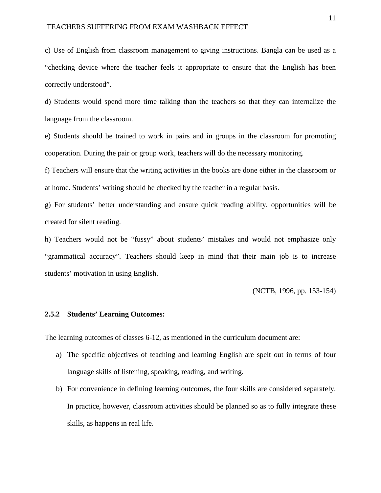#### TEACHERS SUFFERING FROM EXAM WASHBACK EFFECT

c) Use of English from classroom management to giving instructions. Bangla can be used as a "checking device where the teacher feels it appropriate to ensure that the English has been correctly understood".

d) Students would spend more time talking than the teachers so that they can internalize the language from the classroom.

e) Students should be trained to work in pairs and in groups in the classroom for promoting cooperation. During the pair or group work, teachers will do the necessary monitoring.

f) Teachers will ensure that the writing activities in the books are done either in the classroom or at home. Students' writing should be checked by the teacher in a regular basis.

g) For students' better understanding and ensure quick reading ability, opportunities will be created for silent reading.

h) Teachers would not be "fussy" about students' mistakes and would not emphasize only "grammatical accuracy". Teachers should keep in mind that their main job is to increase students' motivation in using English.

(NCTB, 1996, pp. 153-154)

### **2.5.2 Students' Learning Outcomes:**

The learning outcomes of classes 6-12, as mentioned in the curriculum document are:

- a) The specific objectives of teaching and learning English are spelt out in terms of four language skills of listening, speaking, reading, and writing.
- b) For convenience in defining learning outcomes, the four skills are considered separately. In practice, however, classroom activities should be planned so as to fully integrate these skills, as happens in real life.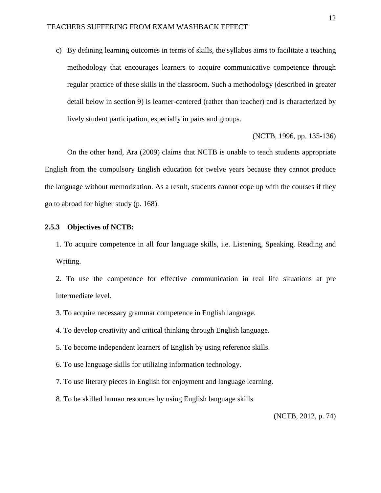c) By defining learning outcomes in terms of skills, the syllabus aims to facilitate a teaching methodology that encourages learners to acquire communicative competence through regular practice of these skills in the classroom. Such a methodology (described in greater detail below in section 9) is learner-centered (rather than teacher) and is characterized by lively student participation, especially in pairs and groups.

(NCTB, 1996, pp. 135-136)

On the other hand, Ara (2009) claims that NCTB is unable to teach students appropriate English from the compulsory English education for twelve years because they cannot produce the language without memorization. As a result, students cannot cope up with the courses if they go to abroad for higher study (p. 168).

#### **2.5.3 Objectives of NCTB:**

1. To acquire competence in all four language skills, i.e. Listening, Speaking, Reading and Writing.

2. To use the competence for effective communication in real life situations at pre intermediate level.

3. To acquire necessary grammar competence in English language.

4. To develop creativity and critical thinking through English language.

5. To become independent learners of English by using reference skills.

6. To use language skills for utilizing information technology.

7. To use literary pieces in English for enjoyment and language learning.

8. To be skilled human resources by using English language skills.

(NCTB, 2012, p. 74)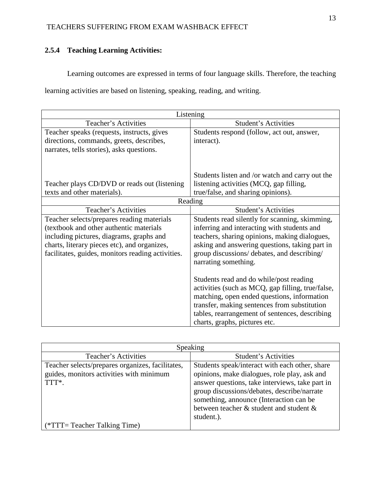# **2.5.4 Teaching Learning Activities:**

Learning outcomes are expressed in terms of four language skills. Therefore, the teaching

learning activities are based on listening, speaking, reading, and writing.

| Listening                                                         |                                                   |  |
|-------------------------------------------------------------------|---------------------------------------------------|--|
| <b>Student's Activities</b><br>Teacher's Activities               |                                                   |  |
| Teacher speaks (requests, instructs, gives                        | Students respond (follow, act out, answer,        |  |
| directions, commands, greets, describes,                          | interact).                                        |  |
| narrates, tells stories), asks questions.                         |                                                   |  |
|                                                                   |                                                   |  |
|                                                                   |                                                   |  |
|                                                                   | Students listen and /or watch and carry out the   |  |
| Teacher plays CD/DVD or reads out (listening                      | listening activities (MCQ, gap filling,           |  |
| texts and other materials).<br>true/false, and sharing opinions). |                                                   |  |
| Reading                                                           |                                                   |  |
| <b>Teacher's Activities</b>                                       | <b>Student's Activities</b>                       |  |
| Teacher selects/prepares reading materials                        | Students read silently for scanning, skimming,    |  |
| (textbook and other authentic materials                           | inferring and interacting with students and       |  |
| including pictures, diagrams, graphs and                          | teachers, sharing opinions, making dialogues,     |  |
| charts, literary pieces etc), and organizes,                      | asking and answering questions, taking part in    |  |
| facilitates, guides, monitors reading activities.                 | group discussions/ debates, and describing/       |  |
|                                                                   | narrating something.                              |  |
|                                                                   |                                                   |  |
|                                                                   | Students read and do while/post reading           |  |
|                                                                   | activities (such as MCQ, gap filling, true/false, |  |
|                                                                   | matching, open ended questions, information       |  |
|                                                                   | transfer, making sentences from substitution      |  |
|                                                                   | tables, rearrangement of sentences, describing    |  |
|                                                                   | charts, graphs, pictures etc.                     |  |

| Speaking                                         |                                                 |  |  |
|--------------------------------------------------|-------------------------------------------------|--|--|
| Teacher's Activities                             | Student's Activities                            |  |  |
| Teacher selects/prepares organizes, facilitates, | Students speak/interact with each other, share  |  |  |
| guides, monitors activities with minimum         | opinions, make dialogues, role play, ask and    |  |  |
| TTT*.                                            | answer questions, take interviews, take part in |  |  |
|                                                  | group discussions/debates, describe/narrate     |  |  |
|                                                  | something, announce (Interaction can be         |  |  |
|                                                  | between teacher & student and student &         |  |  |
|                                                  | student.).                                      |  |  |
| $(*TTT = Teacher Taking Time)$                   |                                                 |  |  |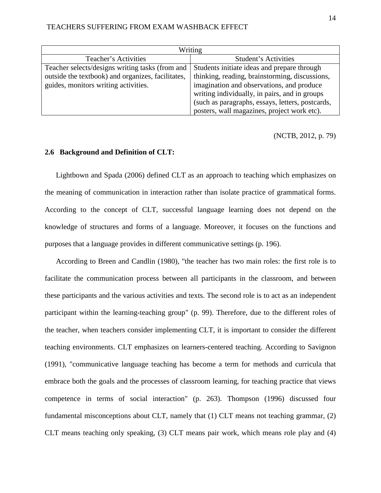| Writing                                           |                                                  |  |
|---------------------------------------------------|--------------------------------------------------|--|
| Teacher's Activities                              | Student's Activities                             |  |
| Teacher selects/designs writing tasks (from and   | Students initiate ideas and prepare through      |  |
| outside the textbook) and organizes, facilitates, | thinking, reading, brainstorming, discussions,   |  |
| guides, monitors writing activities.              | imagination and observations, and produce        |  |
|                                                   | writing individually, in pairs, and in groups    |  |
|                                                   | (such as paragraphs, essays, letters, postcards, |  |
|                                                   | posters, wall magazines, project work etc).      |  |

(NCTB, 2012, p. 79)

### **2.6 Background and Definition of CLT:**

Lightbown and Spada (2006) defined CLT as an approach to teaching which emphasizes on the meaning of communication in interaction rather than isolate practice of grammatical forms. According to the concept of CLT, successful language learning does not depend on the knowledge of structures and forms of a language. Moreover, it focuses on the functions and purposes that a language provides in different communicative settings (p. 196).

According to Breen and Candlin (1980), "the teacher has two main roles: the first role is to facilitate the communication process between all participants in the classroom, and between these participants and the various activities and texts. The second role is to act as an independent participant within the learning-teaching group" (p. 99). Therefore, due to the different roles of the teacher, when teachers consider implementing CLT, it is important to consider the different teaching environments. CLT emphasizes on learners-centered teaching. According to Savignon (1991), "communicative language teaching has become a term for methods and curricula that embrace both the goals and the processes of classroom learning, for teaching practice that views competence in terms of social interaction" (p. 263). Thompson (1996) discussed four fundamental misconceptions about CLT, namely that (1) CLT means not teaching grammar, (2) CLT means teaching only speaking, (3) CLT means pair work, which means role play and (4)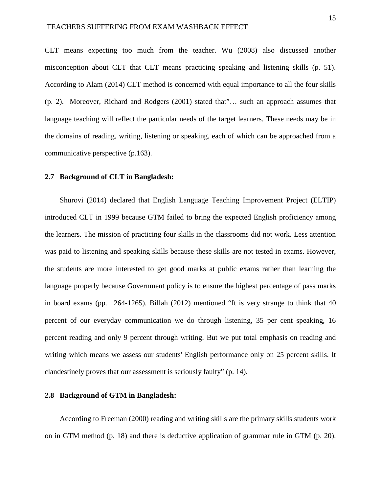CLT means expecting too much from the teacher. Wu (2008) also discussed another misconception about CLT that CLT means practicing speaking and listening skills (p. 51). According to Alam (2014) CLT method is concerned with equal importance to all the four skills (p. 2). Moreover, Richard and Rodgers (2001) stated that"… such an approach assumes that language teaching will reflect the particular needs of the target learners. These needs may be in the domains of reading, writing, listening or speaking, each of which can be approached from a communicative perspective (p.163).

#### **2.7 Background of CLT in Bangladesh:**

Shurovi (2014) declared that English Language Teaching Improvement Project (ELTIP) introduced CLT in 1999 because GTM failed to bring the expected English proficiency among the learners. The mission of practicing four skills in the classrooms did not work. Less attention was paid to listening and speaking skills because these skills are not tested in exams. However, the students are more interested to get good marks at public exams rather than learning the language properly because Government policy is to ensure the highest percentage of pass marks in board exams (pp. 1264-1265). Billah (2012) mentioned "It is very strange to think that 40 percent of our everyday communication we do through listening, 35 per cent speaking, 16 percent reading and only 9 percent through writing. But we put total emphasis on reading and writing which means we assess our students' English performance only on 25 percent skills. It clandestinely proves that our assessment is seriously faulty" (p. 14).

### **2.8 Background of GTM in Bangladesh:**

According to Freeman (2000) reading and writing skills are the primary skills students work on in GTM method (p. 18) and there is deductive application of grammar rule in GTM (p. 20).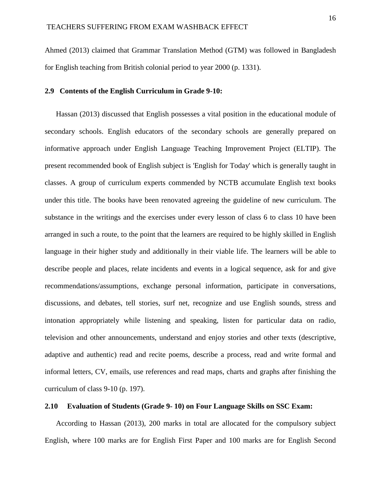Ahmed (2013) claimed that Grammar Translation Method (GTM) was followed in Bangladesh for English teaching from British colonial period to year 2000 (p. 1331).

#### **2.9 Contents of the English Curriculum in Grade 9-10:**

Hassan (2013) discussed that English possesses a vital position in the educational module of secondary schools. English educators of the secondary schools are generally prepared on informative approach under English Language Teaching Improvement Project (ELTIP). The present recommended book of English subject is 'English for Today' which is generally taught in classes. A group of curriculum experts commended by NCTB accumulate English text books under this title. The books have been renovated agreeing the guideline of new curriculum. The substance in the writings and the exercises under every lesson of class 6 to class 10 have been arranged in such a route, to the point that the learners are required to be highly skilled in English language in their higher study and additionally in their viable life. The learners will be able to describe people and places, relate incidents and events in a logical sequence, ask for and give recommendations/assumptions, exchange personal information, participate in conversations, discussions, and debates, tell stories, surf net, recognize and use English sounds, stress and intonation appropriately while listening and speaking, listen for particular data on radio, television and other announcements, understand and enjoy stories and other texts (descriptive, adaptive and authentic) read and recite poems, describe a process, read and write formal and informal letters, CV, emails, use references and read maps, charts and graphs after finishing the curriculum of class 9-10 (p. 197).

### **2.10 Evaluation of Students (Grade 9- 10) on Four Language Skills on SSC Exam:**

According to Hassan (2013), 200 marks in total are allocated for the compulsory subject English, where 100 marks are for English First Paper and 100 marks are for English Second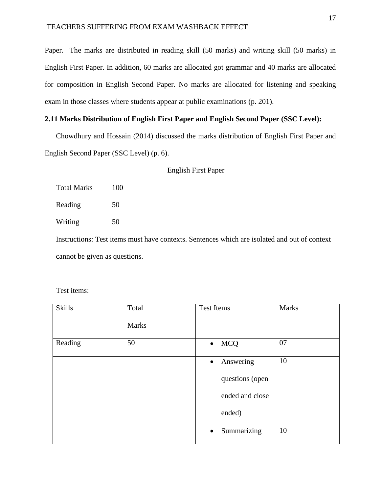Paper. The marks are distributed in reading skill (50 marks) and writing skill (50 marks) in English First Paper. In addition, 60 marks are allocated got grammar and 40 marks are allocated for composition in English Second Paper. No marks are allocated for listening and speaking exam in those classes where students appear at public examinations (p. 201).

#### **2.11 Marks Distribution of English First Paper and English Second Paper (SSC Level):**

Chowdhury and Hossain (2014) discussed the marks distribution of English First Paper and English Second Paper (SSC Level) (p. 6).

English First Paper

| Total Marks | 100 |
|-------------|-----|
| Reading     | 50  |
| Writing     | 50  |

Instructions: Test items must have contexts. Sentences which are isolated and out of context cannot be given as questions.

Test items:

| <b>Skills</b> | Total        | <b>Test Items</b>        | <b>Marks</b> |
|---------------|--------------|--------------------------|--------------|
|               | <b>Marks</b> |                          |              |
| Reading       | 50           | <b>MCQ</b><br>$\bullet$  | 07           |
|               |              | Answering<br>$\bullet$   | 10           |
|               |              | questions (open          |              |
|               |              | ended and close          |              |
|               |              | ended)                   |              |
|               |              | Summarizing<br>$\bullet$ | 10           |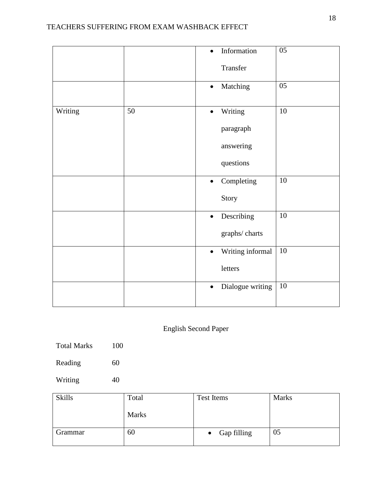|         |    | $\bullet$ | Information      | 05              |
|---------|----|-----------|------------------|-----------------|
|         |    |           | Transfer         |                 |
|         |    | $\bullet$ | Matching         | 05              |
| Writing | 50 | $\bullet$ | Writing          | 10              |
|         |    |           | paragraph        |                 |
|         |    |           | answering        |                 |
|         |    |           | questions        |                 |
|         |    | $\bullet$ | Completing       | 10              |
|         |    |           | Story            |                 |
|         |    | $\bullet$ | Describing       | $\overline{10}$ |
|         |    |           | graphs/charts    |                 |
|         |    | $\bullet$ | Writing informal | $\overline{10}$ |
|         |    |           | letters          |                 |
|         |    | $\bullet$ | Dialogue writing | 10              |
|         |    |           |                  |                 |

# English Second Paper

- Total Marks 100
- Reading 60
- Writing 40

| <b>Skills</b> | Total        | <b>Marks</b><br>Test Items |    |
|---------------|--------------|----------------------------|----|
|               | <b>Marks</b> |                            |    |
| Grammar       | 60           | Gap filling<br>$\bullet$   | 05 |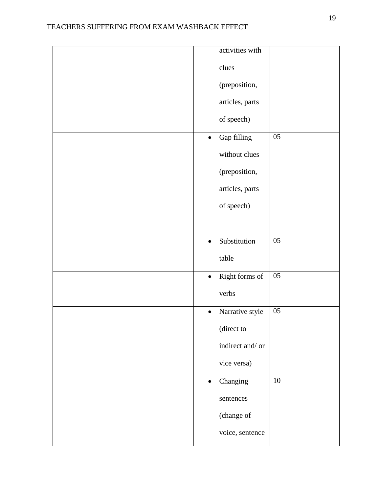| activities with                              |
|----------------------------------------------|
| clues                                        |
| (preposition,                                |
| articles, parts                              |
| of speech)                                   |
| $05\,$<br>Gap filling<br>$\bullet$           |
| without clues                                |
| (preposition,                                |
| articles, parts                              |
| of speech)                                   |
|                                              |
| $\overline{05}$<br>Substitution<br>$\bullet$ |
| table                                        |
| $05\,$<br>Right forms of<br>$\bullet$        |
| verbs                                        |
| $05\,$<br>Narrative style<br>$\bullet$       |
| (direct to                                   |
| indirect and/or                              |
| vice versa)                                  |
| 10<br>Changing<br>$\bullet$                  |
| sentences                                    |
| (change of                                   |
| voice, sentence                              |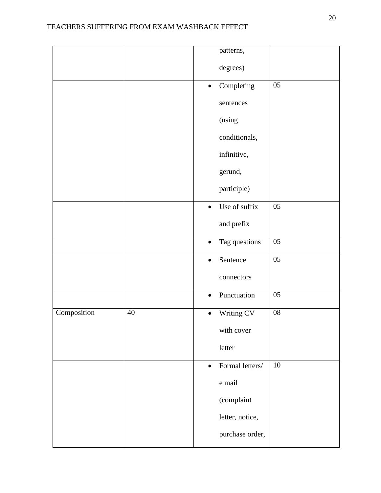|             |        | patterns,                    |            |
|-------------|--------|------------------------------|------------|
|             |        | degrees)                     |            |
|             |        | Completing<br>$\bullet$      | 05         |
|             |        | sentences                    |            |
|             |        | (using                       |            |
|             |        | conditionals,                |            |
|             |        | infinitive,                  |            |
|             |        | gerund,                      |            |
|             |        | participle)                  |            |
|             |        | Use of suffix<br>$\bullet$   | $05\,$     |
|             |        | and prefix                   |            |
|             |        | Tag questions<br>$\bullet$   | 05         |
|             |        | Sentence<br>$\bullet$        | $05\,$     |
|             |        | connectors                   |            |
|             |        | Punctuation<br>$\bullet$     | $05\,$     |
| Composition | $40\,$ | Writing CV<br>$\bullet$      | ${\bf 08}$ |
|             |        | with cover                   |            |
|             |        | letter                       |            |
|             |        | Formal letters/<br>$\bullet$ | 10         |
|             |        | ${\bf e}$ mail               |            |
|             |        | (complaint                   |            |
|             |        | letter, notice,              |            |
|             |        | purchase order,              |            |
|             |        |                              |            |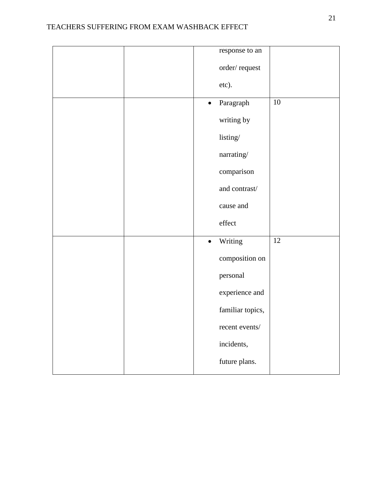|  | response to an         |                 |
|--|------------------------|-----------------|
|  | order/request          |                 |
|  | etc).                  |                 |
|  | Paragraph<br>$\bullet$ | $10\,$          |
|  | writing by             |                 |
|  | listing/               |                 |
|  | $narrating/$           |                 |
|  | comparison             |                 |
|  | and contrast/          |                 |
|  | cause and              |                 |
|  | effect                 |                 |
|  | Writing<br>$\bullet$   | $\overline{12}$ |
|  | composition on         |                 |
|  | personal               |                 |
|  | experience and         |                 |
|  | familiar topics,       |                 |
|  | recent events/         |                 |
|  | incidents,             |                 |
|  | future plans.          |                 |
|  |                        |                 |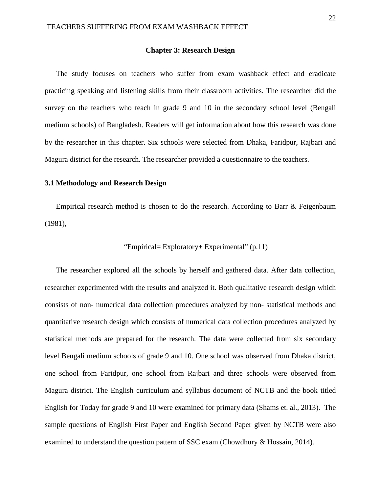#### **Chapter 3: Research Design**

The study focuses on teachers who suffer from exam washback effect and eradicate practicing speaking and listening skills from their classroom activities. The researcher did the survey on the teachers who teach in grade 9 and 10 in the secondary school level (Bengali medium schools) of Bangladesh. Readers will get information about how this research was done by the researcher in this chapter. Six schools were selected from Dhaka, Faridpur, Rajbari and Magura district for the research. The researcher provided a questionnaire to the teachers.

#### **3.1 Methodology and Research Design**

Empirical research method is chosen to do the research. According to Barr & Feigenbaum (1981),

#### "Empirical= Exploratory+ Experimental" (p.11)

The researcher explored all the schools by herself and gathered data. After data collection, researcher experimented with the results and analyzed it. Both qualitative research design which consists of non- numerical data collection procedures analyzed by non- statistical methods and quantitative research design which consists of numerical data collection procedures analyzed by statistical methods are prepared for the research. The data were collected from six secondary level Bengali medium schools of grade 9 and 10. One school was observed from Dhaka district, one school from Faridpur, one school from Rajbari and three schools were observed from Magura district. The English curriculum and syllabus document of NCTB and the book titled English for Today for grade 9 and 10 were examined for primary data (Shams et. al., 2013). The sample questions of English First Paper and English Second Paper given by NCTB were also examined to understand the question pattern of SSC exam (Chowdhury & Hossain, 2014).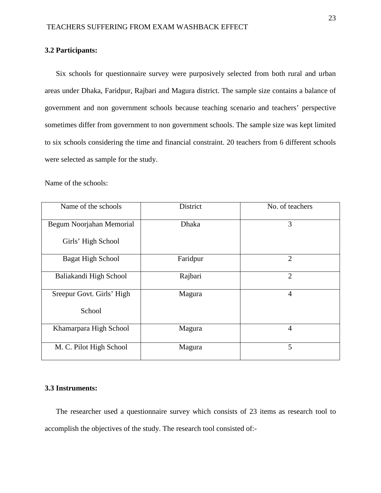#### **3.2 Participants:**

Six schools for questionnaire survey were purposively selected from both rural and urban areas under Dhaka, Faridpur, Rajbari and Magura district. The sample size contains a balance of government and non government schools because teaching scenario and teachers' perspective sometimes differ from government to non government schools. The sample size was kept limited to six schools considering the time and financial constraint. 20 teachers from 6 different schools were selected as sample for the study.

Name of the schools:

| Name of the schools       | District     | No. of teachers |
|---------------------------|--------------|-----------------|
| Begum Noorjahan Memorial  | <b>Dhaka</b> | 3               |
| Girls' High School        |              |                 |
| <b>Bagat High School</b>  | Faridpur     | $\overline{2}$  |
| Baliakandi High School    | Rajbari      | $\overline{2}$  |
| Sreepur Govt. Girls' High | Magura       | $\overline{4}$  |
| School                    |              |                 |
| Khamarpara High School    | Magura       | $\overline{4}$  |
| M. C. Pilot High School   | Magura       | 5               |

#### **3.3 Instruments:**

The researcher used a questionnaire survey which consists of 23 items as research tool to accomplish the objectives of the study. The research tool consisted of:-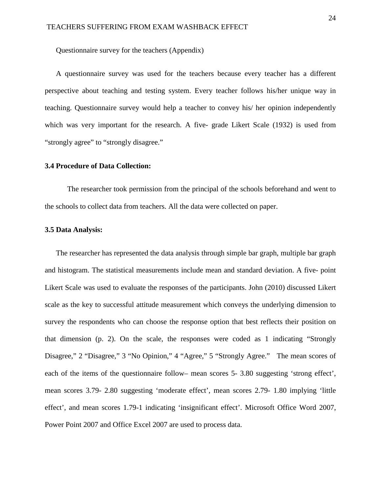Questionnaire survey for the teachers (Appendix)

A questionnaire survey was used for the teachers because every teacher has a different perspective about teaching and testing system. Every teacher follows his/her unique way in teaching. Questionnaire survey would help a teacher to convey his/ her opinion independently which was very important for the research. A five- grade Likert Scale (1932) is used from "strongly agree" to "strongly disagree."

#### **3.4 Procedure of Data Collection:**

The researcher took permission from the principal of the schools beforehand and went to the schools to collect data from teachers. All the data were collected on paper.

#### **3.5 Data Analysis:**

The researcher has represented the data analysis through simple bar graph, multiple bar graph and histogram. The statistical measurements include mean and standard deviation. A five- point Likert Scale was used to evaluate the responses of the participants. John (2010) discussed Likert scale as the key to successful attitude measurement which conveys the underlying dimension to survey the respondents who can choose the response option that best reflects their position on that dimension (p. 2). On the scale, the responses were coded as 1 indicating "Strongly Disagree," 2 "Disagree," 3 "No Opinion," 4 "Agree," 5 "Strongly Agree." The mean scores of each of the items of the questionnaire follow– mean scores 5- 3.80 suggesting 'strong effect', mean scores 3.79- 2.80 suggesting 'moderate effect', mean scores 2.79- 1.80 implying 'little effect', and mean scores 1.79-1 indicating 'insignificant effect'. Microsoft Office Word 2007, Power Point 2007 and Office Excel 2007 are used to process data.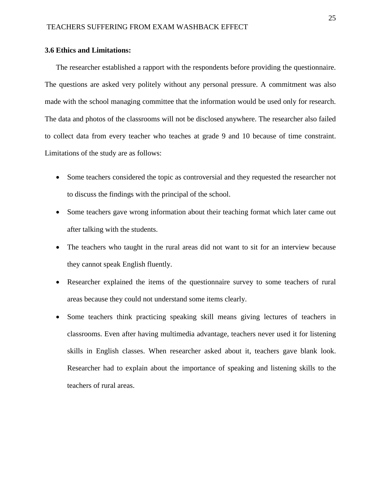### **3.6 Ethics and Limitations:**

The researcher established a rapport with the respondents before providing the questionnaire. The questions are asked very politely without any personal pressure. A commitment was also made with the school managing committee that the information would be used only for research. The data and photos of the classrooms will not be disclosed anywhere. The researcher also failed to collect data from every teacher who teaches at grade 9 and 10 because of time constraint. Limitations of the study are as follows:

- Some teachers considered the topic as controversial and they requested the researcher not to discuss the findings with the principal of the school.
- Some teachers gave wrong information about their teaching format which later came out after talking with the students.
- The teachers who taught in the rural areas did not want to sit for an interview because they cannot speak English fluently.
- Researcher explained the items of the questionnaire survey to some teachers of rural areas because they could not understand some items clearly.
- Some teachers think practicing speaking skill means giving lectures of teachers in classrooms. Even after having multimedia advantage, teachers never used it for listening skills in English classes. When researcher asked about it, teachers gave blank look. Researcher had to explain about the importance of speaking and listening skills to the teachers of rural areas.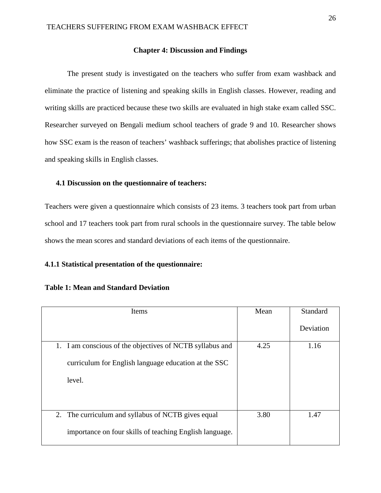#### **Chapter 4: Discussion and Findings**

The present study is investigated on the teachers who suffer from exam washback and eliminate the practice of listening and speaking skills in English classes. However, reading and writing skills are practiced because these two skills are evaluated in high stake exam called SSC. Researcher surveyed on Bengali medium school teachers of grade 9 and 10. Researcher shows how SSC exam is the reason of teachers' washback sufferings; that abolishes practice of listening and speaking skills in English classes.

#### **4.1 Discussion on the questionnaire of teachers:**

Teachers were given a questionnaire which consists of 23 items. 3 teachers took part from urban school and 17 teachers took part from rural schools in the questionnaire survey. The table below shows the mean scores and standard deviations of each items of the questionnaire.

### **4.1.1 Statistical presentation of the questionnaire:**

| Items                                                    | Mean | Standard  |
|----------------------------------------------------------|------|-----------|
|                                                          |      | Deviation |
| 1. I am conscious of the objectives of NCTB syllabus and | 4.25 | 1.16      |
| curriculum for English language education at the SSC     |      |           |
| level.                                                   |      |           |
|                                                          |      |           |
|                                                          |      |           |
| 2. The curriculum and syllabus of NCTB gives equal       | 3.80 | 1.47      |
| importance on four skills of teaching English language.  |      |           |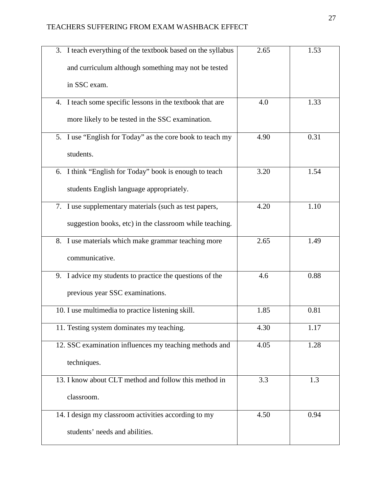| 3. I teach everything of the textbook based on the syllabus | 2.65 | 1.53 |
|-------------------------------------------------------------|------|------|
| and curriculum although something may not be tested         |      |      |
| in SSC exam.                                                |      |      |
| 4. I teach some specific lessons in the textbook that are   | 4.0  | 1.33 |
| more likely to be tested in the SSC examination.            |      |      |
| 5. I use "English for Today" as the core book to teach my   | 4.90 | 0.31 |
| students.                                                   |      |      |
| 6. I think "English for Today" book is enough to teach      | 3.20 | 1.54 |
| students English language appropriately.                    |      |      |
| 7. I use supplementary materials (such as test papers,      | 4.20 | 1.10 |
| suggestion books, etc) in the classroom while teaching.     |      |      |
| 8. I use materials which make grammar teaching more         | 2.65 | 1.49 |
| communicative.                                              |      |      |
| 9. I advice my students to practice the questions of the    | 4.6  | 0.88 |
| previous year SSC examinations.                             |      |      |
| 10. I use multimedia to practice listening skill.           | 1.85 | 0.81 |
| 11. Testing system dominates my teaching.                   | 4.30 | 1.17 |
| 12. SSC examination influences my teaching methods and      | 4.05 | 1.28 |
| techniques.                                                 |      |      |
| 13. I know about CLT method and follow this method in       | 3.3  | 1.3  |
| classroom.                                                  |      |      |
| 14. I design my classroom activities according to my        | 4.50 | 0.94 |
| students' needs and abilities.                              |      |      |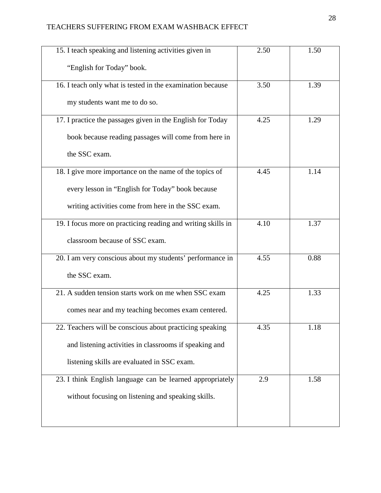# TEACHERS SUFFERING FROM EXAM WASHBACK EFFECT

| 15. I teach speaking and listening activities given in       | 2.50 | 1.50 |
|--------------------------------------------------------------|------|------|
| "English for Today" book.                                    |      |      |
| 16. I teach only what is tested in the examination because   | 3.50 | 1.39 |
| my students want me to do so.                                |      |      |
| 17. I practice the passages given in the English for Today   | 4.25 | 1.29 |
| book because reading passages will come from here in         |      |      |
| the SSC exam.                                                |      |      |
| 18. I give more importance on the name of the topics of      | 4.45 | 1.14 |
| every lesson in "English for Today" book because             |      |      |
| writing activities come from here in the SSC exam.           |      |      |
| 19. I focus more on practicing reading and writing skills in | 4.10 | 1.37 |
| classroom because of SSC exam.                               |      |      |
| 20. I am very conscious about my students' performance in    | 4.55 | 0.88 |
| the SSC exam.                                                |      |      |
| 21. A sudden tension starts work on me when SSC exam         | 4.25 | 1.33 |
| comes near and my teaching becomes exam centered.            |      |      |
| 22. Teachers will be conscious about practicing speaking     | 4.35 | 1.18 |
| and listening activities in classrooms if speaking and       |      |      |
| listening skills are evaluated in SSC exam.                  |      |      |
| 23. I think English language can be learned appropriately    | 2.9  | 1.58 |
| without focusing on listening and speaking skills.           |      |      |
|                                                              |      |      |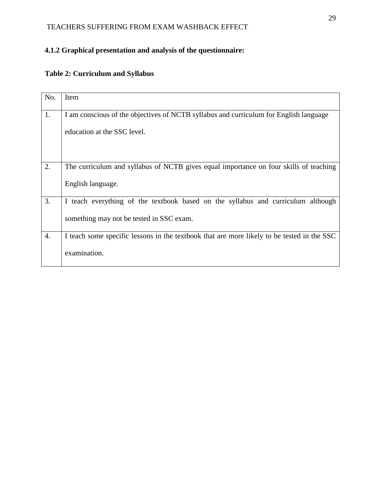# **4.1.2 Graphical presentation and analysis of the questionnaire:**

# **Table 2: Curriculum and Syllabus**

| No.              | Item                                                                                       |
|------------------|--------------------------------------------------------------------------------------------|
|                  |                                                                                            |
| 1.               | I am conscious of the objectives of NCTB syllabus and curriculum for English language      |
|                  | education at the SSC level.                                                                |
|                  |                                                                                            |
| 2.               | The curriculum and syllabus of NCTB gives equal importance on four skills of teaching      |
|                  | English language.                                                                          |
| 3.               | I teach everything of the textbook based on the syllabus and curriculum although           |
|                  | something may not be tested in SSC exam.                                                   |
| $\overline{4}$ . | I teach some specific lessons in the textbook that are more likely to be tested in the SSC |
|                  | examination.                                                                               |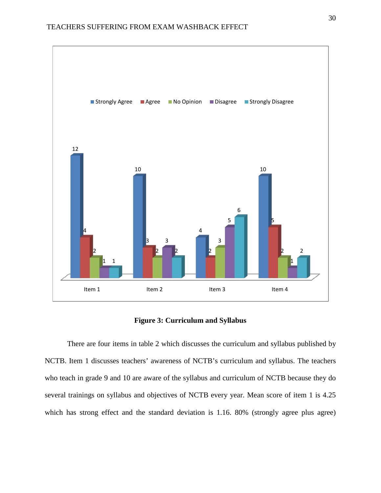

### **Figure 3: Curriculum and Syllabus**

There are four items in table 2 which discusses the curriculum and syllabus published by NCTB. Item 1 discusses teachers' awareness of NCTB's curriculum and syllabus. The teachers who teach in grade 9 and 10 are aware of the syllabus and curriculum of NCTB because they do several trainings on syllabus and objectives of NCTB every year. Mean score of item 1 is 4.25 which has strong effect and the standard deviation is 1.16. 80% (strongly agree plus agree)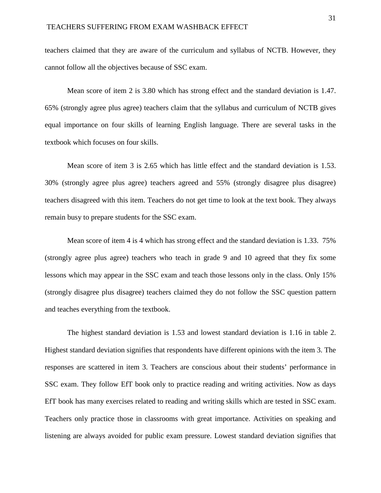teachers claimed that they are aware of the curriculum and syllabus of NCTB. However, they cannot follow all the objectives because of SSC exam.

Mean score of item 2 is 3.80 which has strong effect and the standard deviation is 1.47. 65% (strongly agree plus agree) teachers claim that the syllabus and curriculum of NCTB gives equal importance on four skills of learning English language. There are several tasks in the textbook which focuses on four skills.

Mean score of item 3 is 2.65 which has little effect and the standard deviation is 1.53. 30% (strongly agree plus agree) teachers agreed and 55% (strongly disagree plus disagree) teachers disagreed with this item. Teachers do not get time to look at the text book. They always remain busy to prepare students for the SSC exam.

Mean score of item 4 is 4 which has strong effect and the standard deviation is 1.33. 75% (strongly agree plus agree) teachers who teach in grade 9 and 10 agreed that they fix some lessons which may appear in the SSC exam and teach those lessons only in the class. Only 15% (strongly disagree plus disagree) teachers claimed they do not follow the SSC question pattern and teaches everything from the textbook.

The highest standard deviation is 1.53 and lowest standard deviation is 1.16 in table 2. Highest standard deviation signifies that respondents have different opinions with the item 3. The responses are scattered in item 3. Teachers are conscious about their students' performance in SSC exam. They follow EfT book only to practice reading and writing activities. Now as days EfT book has many exercises related to reading and writing skills which are tested in SSC exam. Teachers only practice those in classrooms with great importance. Activities on speaking and listening are always avoided for public exam pressure. Lowest standard deviation signifies that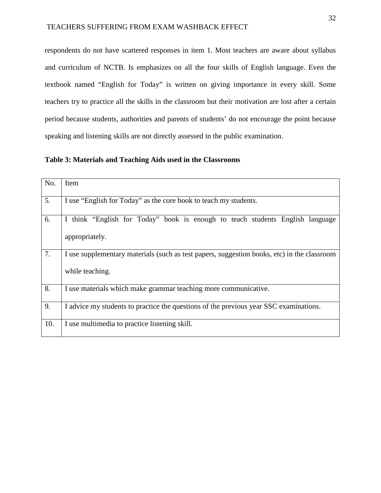respondents do not have scattered responses in item 1. Most teachers are aware about syllabus and curriculum of NCTB. Is emphasizes on all the four skills of English language. Even the textbook named "English for Today" is written on giving importance in every skill. Some teachers try to practice all the skills in the classroom but their motivation are lost after a certain period because students, authorities and parents of students' do not encourage the point because speaking and listening skills are not directly assessed in the public examination.

**Table 3: Materials and Teaching Aids used in the Classrooms**

| No. | Item                                                                                                           |
|-----|----------------------------------------------------------------------------------------------------------------|
| 5.  | I use "English for Today" as the core book to teach my students.                                               |
| 6.  | I think "English for Today" book is enough to teach students English language<br>appropriately.                |
| 7.  | I use supplementary materials (such as test papers, suggestion books, etc) in the classroom<br>while teaching. |
| 8.  | I use materials which make grammar teaching more communicative.                                                |
| 9.  | I advice my students to practice the questions of the previous year SSC examinations.                          |
| 10. | I use multimedia to practice listening skill.                                                                  |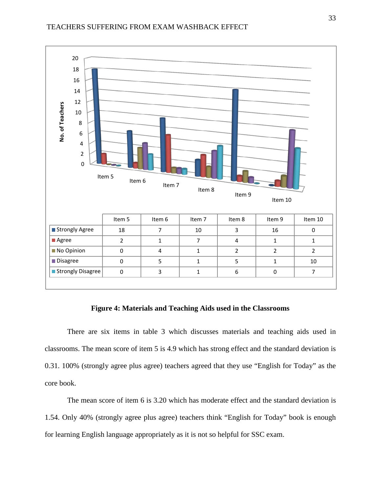

### **Figure 4: Materials and Teaching Aids used in the Classrooms**

There are six items in table 3 which discusses materials and teaching aids used in classrooms. The mean score of item 5 is 4.9 which has strong effect and the standard deviation is 0.31. 100% (strongly agree plus agree) teachers agreed that they use "English for Today" as the core book.

The mean score of item 6 is 3.20 which has moderate effect and the standard deviation is 1.54. Only 40% (strongly agree plus agree) teachers think "English for Today" book is enough for learning English language appropriately as it is not so helpful for SSC exam.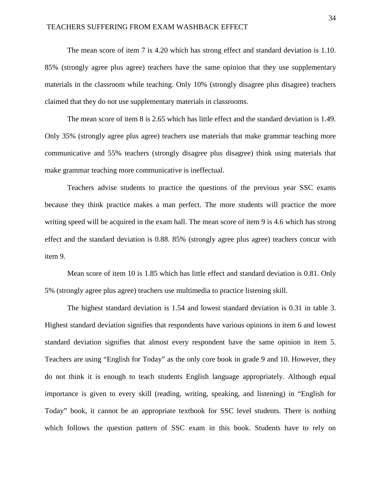The mean score of item 7 is 4.20 which has strong effect and standard deviation is 1.10. 85% (strongly agree plus agree) teachers have the same opinion that they use supplementary materials in the classroom while teaching. Only 10% (strongly disagree plus disagree) teachers claimed that they do not use supplementary materials in classrooms.

The mean score of item 8 is 2.65 which has little effect and the standard deviation is 1.49. Only 35% (strongly agree plus agree) teachers use materials that make grammar teaching more communicative and 55% teachers (strongly disagree plus disagree) think using materials that make grammar teaching more communicative is ineffectual.

Teachers advise students to practice the questions of the previous year SSC exams because they think practice makes a man perfect. The more students will practice the more writing speed will be acquired in the exam hall. The mean score of item 9 is 4.6 which has strong effect and the standard deviation is 0.88. 85% (strongly agree plus agree) teachers concur with item 9.

Mean score of item 10 is 1.85 which has little effect and standard deviation is 0.81. Only 5% (strongly agree plus agree) teachers use multimedia to practice listening skill.

The highest standard deviation is 1.54 and lowest standard deviation is 0.31 in table 3. Highest standard deviation signifies that respondents have various opinions in item 6 and lowest standard deviation signifies that almost every respondent have the same opinion in item 5. Teachers are using "English for Today" as the only core book in grade 9 and 10. However, they do not think it is enough to teach students English language appropriately. Although equal importance is given to every skill (reading, writing, speaking, and listening) in "English for Today" book, it cannot be an appropriate textbook for SSC level students. There is nothing which follows the question pattern of SSC exam in this book. Students have to rely on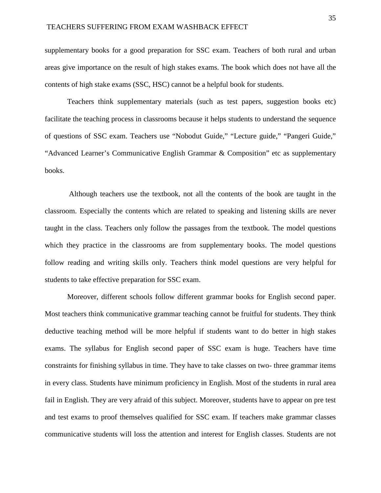supplementary books for a good preparation for SSC exam. Teachers of both rural and urban areas give importance on the result of high stakes exams. The book which does not have all the contents of high stake exams (SSC, HSC) cannot be a helpful book for students.

Teachers think supplementary materials (such as test papers, suggestion books etc) facilitate the teaching process in classrooms because it helps students to understand the sequence of questions of SSC exam. Teachers use "Nobodut Guide," "Lecture guide," "Pangeri Guide," "Advanced Learner's Communicative English Grammar & Composition" etc as supplementary books.

Although teachers use the textbook, not all the contents of the book are taught in the classroom. Especially the contents which are related to speaking and listening skills are never taught in the class. Teachers only follow the passages from the textbook. The model questions which they practice in the classrooms are from supplementary books. The model questions follow reading and writing skills only. Teachers think model questions are very helpful for students to take effective preparation for SSC exam.

Moreover, different schools follow different grammar books for English second paper. Most teachers think communicative grammar teaching cannot be fruitful for students. They think deductive teaching method will be more helpful if students want to do better in high stakes exams. The syllabus for English second paper of SSC exam is huge. Teachers have time constraints for finishing syllabus in time. They have to take classes on two- three grammar items in every class. Students have minimum proficiency in English. Most of the students in rural area fail in English. They are very afraid of this subject. Moreover, students have to appear on pre test and test exams to proof themselves qualified for SSC exam. If teachers make grammar classes communicative students will loss the attention and interest for English classes. Students are not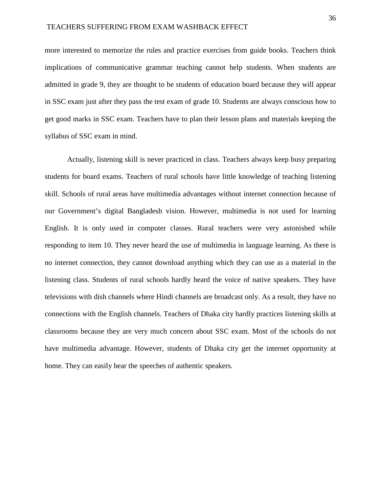more interested to memorize the rules and practice exercises from guide books. Teachers think implications of communicative grammar teaching cannot help students. When students are admitted in grade 9, they are thought to be students of education board because they will appear in SSC exam just after they pass the test exam of grade 10. Students are always conscious how to get good marks in SSC exam. Teachers have to plan their lesson plans and materials keeping the syllabus of SSC exam in mind.

Actually, listening skill is never practiced in class. Teachers always keep busy preparing students for board exams. Teachers of rural schools have little knowledge of teaching listening skill. Schools of rural areas have multimedia advantages without internet connection because of our Government's digital Bangladesh vision. However, multimedia is not used for learning English. It is only used in computer classes. Rural teachers were very astonished while responding to item 10. They never heard the use of multimedia in language learning. As there is no internet connection, they cannot download anything which they can use as a material in the listening class. Students of rural schools hardly heard the voice of native speakers. They have televisions with dish channels where Hindi channels are broadcast only. As a result, they have no connections with the English channels. Teachers of Dhaka city hardly practices listening skills at classrooms because they are very much concern about SSC exam. Most of the schools do not have multimedia advantage. However, students of Dhaka city get the internet opportunity at home. They can easily hear the speeches of authentic speakers.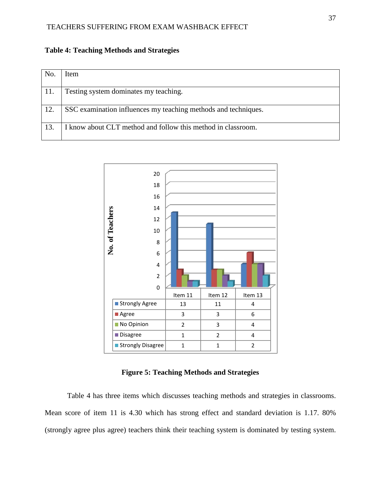| No. | Item                                                           |
|-----|----------------------------------------------------------------|
| 11. | Testing system dominates my teaching.                          |
| 12. | SSC examination influences my teaching methods and techniques. |
| 13. | I know about CLT method and follow this method in classroom.   |

**Table 4: Teaching Methods and Strategies**



**Figure 5: Teaching Methods and Strategies**

Table 4 has three items which discusses teaching methods and strategies in classrooms. Mean score of item 11 is 4.30 which has strong effect and standard deviation is 1.17. 80% (strongly agree plus agree) teachers think their teaching system is dominated by testing system.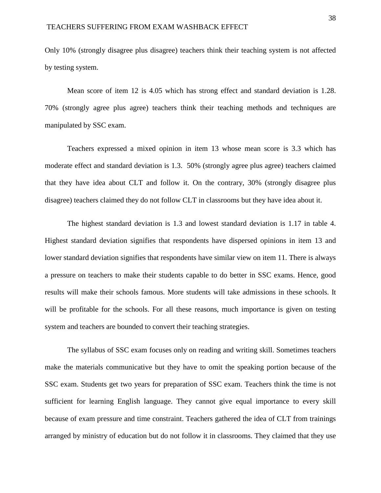Only 10% (strongly disagree plus disagree) teachers think their teaching system is not affected by testing system.

Mean score of item 12 is 4.05 which has strong effect and standard deviation is 1.28. 70% (strongly agree plus agree) teachers think their teaching methods and techniques are manipulated by SSC exam.

Teachers expressed a mixed opinion in item 13 whose mean score is 3.3 which has moderate effect and standard deviation is 1.3. 50% (strongly agree plus agree) teachers claimed that they have idea about CLT and follow it. On the contrary, 30% (strongly disagree plus disagree) teachers claimed they do not follow CLT in classrooms but they have idea about it.

The highest standard deviation is 1.3 and lowest standard deviation is 1.17 in table 4. Highest standard deviation signifies that respondents have dispersed opinions in item 13 and lower standard deviation signifies that respondents have similar view on item 11. There is always a pressure on teachers to make their students capable to do better in SSC exams. Hence, good results will make their schools famous. More students will take admissions in these schools. It will be profitable for the schools. For all these reasons, much importance is given on testing system and teachers are bounded to convert their teaching strategies.

The syllabus of SSC exam focuses only on reading and writing skill. Sometimes teachers make the materials communicative but they have to omit the speaking portion because of the SSC exam. Students get two years for preparation of SSC exam. Teachers think the time is not sufficient for learning English language. They cannot give equal importance to every skill because of exam pressure and time constraint. Teachers gathered the idea of CLT from trainings arranged by ministry of education but do not follow it in classrooms. They claimed that they use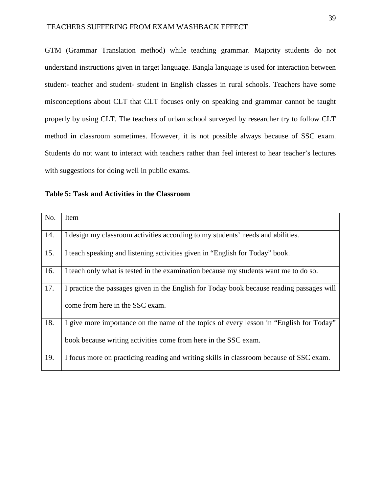GTM (Grammar Translation method) while teaching grammar. Majority students do not understand instructions given in target language. Bangla language is used for interaction between student- teacher and student- student in English classes in rural schools. Teachers have some misconceptions about CLT that CLT focuses only on speaking and grammar cannot be taught properly by using CLT. The teachers of urban school surveyed by researcher try to follow CLT method in classroom sometimes. However, it is not possible always because of SSC exam. Students do not want to interact with teachers rather than feel interest to hear teacher's lectures with suggestions for doing well in public exams.

| No. | Item                                                                                                                                                       |
|-----|------------------------------------------------------------------------------------------------------------------------------------------------------------|
| 14. | I design my classroom activities according to my students' needs and abilities.                                                                            |
| 15. | I teach speaking and listening activities given in "English for Today" book.                                                                               |
| 16. | I teach only what is tested in the examination because my students want me to do so.                                                                       |
| 17. | I practice the passages given in the English for Today book because reading passages will<br>come from here in the SSC exam.                               |
| 18. | I give more importance on the name of the topics of every lesson in "English for Today"<br>book because writing activities come from here in the SSC exam. |
| 19. | I focus more on practicing reading and writing skills in classroom because of SSC exam.                                                                    |

**Table 5: Task and Activities in the Classroom**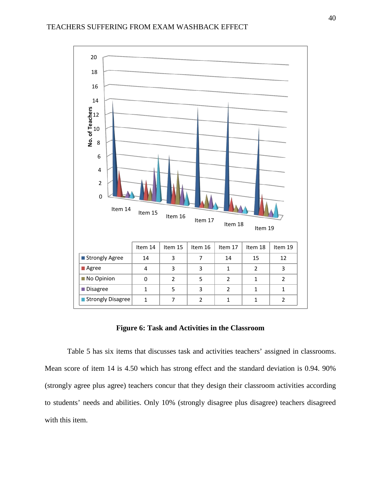

#### **Figure 6: Task and Activities in the Classroom**

Table 5 has six items that discusses task and activities teachers' assigned in classrooms. Mean score of item 14 is 4.50 which has strong effect and the standard deviation is 0.94. 90% (strongly agree plus agree) teachers concur that they design their classroom activities according to students' needs and abilities. Only 10% (strongly disagree plus disagree) teachers disagreed with this item.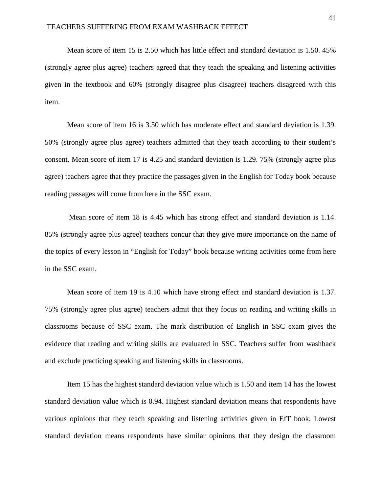Mean score of item 15 is 2.50 which has little effect and standard deviation is 1.50. 45% (strongly agree plus agree) teachers agreed that they teach the speaking and listening activities given in the textbook and 60% (strongly disagree plus disagree) teachers disagreed with this item.

Mean score of item 16 is 3.50 which has moderate effect and standard deviation is 1.39. 50% (strongly agree plus agree) teachers admitted that they teach according to their student's consent. Mean score of item 17 is 4.25 and standard deviation is 1.29. 75% (strongly agree plus agree) teachers agree that they practice the passages given in the English for Today book because reading passages will come from here in the SSC exam.

Mean score of item 18 is 4.45 which has strong effect and standard deviation is 1.14. 85% (strongly agree plus agree) teachers concur that they give more importance on the name of the topics of every lesson in "English for Today" book because writing activities come from here in the SSC exam.

Mean score of item 19 is 4.10 which have strong effect and standard deviation is 1.37. 75% (strongly agree plus agree) teachers admit that they focus on reading and writing skills in classrooms because of SSC exam. The mark distribution of English in SSC exam gives the evidence that reading and writing skills are evaluated in SSC. Teachers suffer from washback and exclude practicing speaking and listening skills in classrooms.

Item 15 has the highest standard deviation value which is 1.50 and item 14 has the lowest standard deviation value which is 0.94. Highest standard deviation means that respondents have various opinions that they teach speaking and listening activities given in EfT book. Lowest standard deviation means respondents have similar opinions that they design the classroom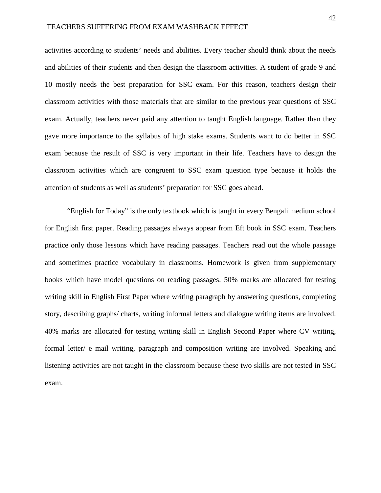activities according to students' needs and abilities. Every teacher should think about the needs and abilities of their students and then design the classroom activities. A student of grade 9 and 10 mostly needs the best preparation for SSC exam. For this reason, teachers design their classroom activities with those materials that are similar to the previous year questions of SSC exam. Actually, teachers never paid any attention to taught English language. Rather than they gave more importance to the syllabus of high stake exams. Students want to do better in SSC exam because the result of SSC is very important in their life. Teachers have to design the classroom activities which are congruent to SSC exam question type because it holds the attention of students as well as students' preparation for SSC goes ahead.

"English for Today" is the only textbook which is taught in every Bengali medium school for English first paper. Reading passages always appear from Eft book in SSC exam. Teachers practice only those lessons which have reading passages. Teachers read out the whole passage and sometimes practice vocabulary in classrooms. Homework is given from supplementary books which have model questions on reading passages. 50% marks are allocated for testing writing skill in English First Paper where writing paragraph by answering questions, completing story, describing graphs/ charts, writing informal letters and dialogue writing items are involved. 40% marks are allocated for testing writing skill in English Second Paper where CV writing, formal letter/ e mail writing, paragraph and composition writing are involved. Speaking and listening activities are not taught in the classroom because these two skills are not tested in SSC exam.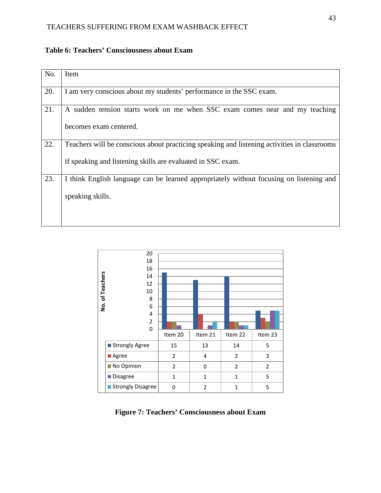### TEACHERS SUFFERING FROM EXAM WASHBACK EFFECT

| No. | Item                                                                                        |
|-----|---------------------------------------------------------------------------------------------|
|     |                                                                                             |
| 20. | I am very conscious about my students' performance in the SSC exam.                         |
|     |                                                                                             |
| 21. | A sudden tension starts work on me when SSC exam comes near and my teaching                 |
|     |                                                                                             |
|     | becomes exam centered.                                                                      |
| 22. | Teachers will be conscious about practicing speaking and listening activities in classrooms |
|     |                                                                                             |
|     | if speaking and listening skills are evaluated in SSC exam.                                 |
|     |                                                                                             |
| 23. | I think English language can be learned appropriately without focusing on listening and     |
|     | speaking skills.                                                                            |
|     |                                                                                             |
|     |                                                                                             |
|     |                                                                                             |

### **Table 6: Teachers' Consciousness about Exam**



**Figure 7: Teachers' Consciousness about Exam**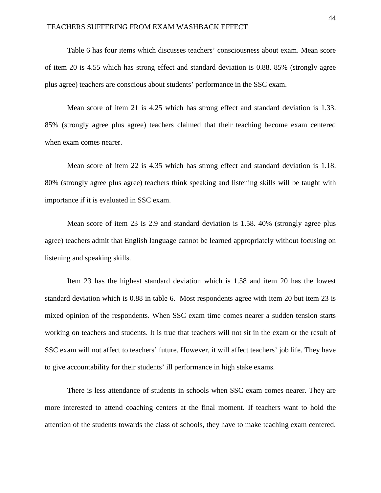#### TEACHERS SUFFERING FROM EXAM WASHBACK EFFECT

Table 6 has four items which discusses teachers' consciousness about exam. Mean score of item 20 is 4.55 which has strong effect and standard deviation is 0.88. 85% (strongly agree plus agree) teachers are conscious about students' performance in the SSC exam.

Mean score of item 21 is 4.25 which has strong effect and standard deviation is 1.33. 85% (strongly agree plus agree) teachers claimed that their teaching become exam centered when exam comes nearer.

Mean score of item 22 is 4.35 which has strong effect and standard deviation is 1.18. 80% (strongly agree plus agree) teachers think speaking and listening skills will be taught with importance if it is evaluated in SSC exam.

Mean score of item 23 is 2.9 and standard deviation is 1.58. 40% (strongly agree plus agree) teachers admit that English language cannot be learned appropriately without focusing on listening and speaking skills.

Item 23 has the highest standard deviation which is 1.58 and item 20 has the lowest standard deviation which is 0.88 in table 6. Most respondents agree with item 20 but item 23 is mixed opinion of the respondents. When SSC exam time comes nearer a sudden tension starts working on teachers and students. It is true that teachers will not sit in the exam or the result of SSC exam will not affect to teachers' future. However, it will affect teachers' job life. They have to give accountability for their students' ill performance in high stake exams.

There is less attendance of students in schools when SSC exam comes nearer. They are more interested to attend coaching centers at the final moment. If teachers want to hold the attention of the students towards the class of schools, they have to make teaching exam centered.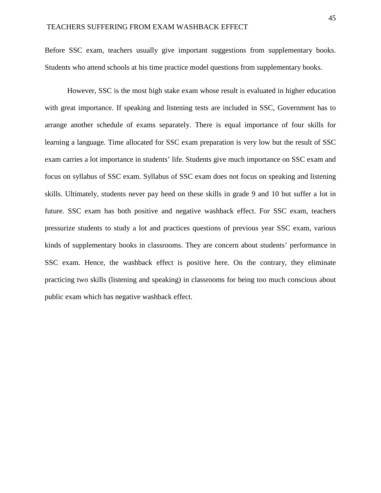Before SSC exam, teachers usually give important suggestions from supplementary books. Students who attend schools at his time practice model questions from supplementary books.

However, SSC is the most high stake exam whose result is evaluated in higher education with great importance. If speaking and listening tests are included in SSC, Government has to arrange another schedule of exams separately. There is equal importance of four skills for learning a language. Time allocated for SSC exam preparation is very low but the result of SSC exam carries a lot importance in students' life. Students give much importance on SSC exam and focus on syllabus of SSC exam. Syllabus of SSC exam does not focus on speaking and listening skills. Ultimately, students never pay heed on these skills in grade 9 and 10 but suffer a lot in future. SSC exam has both positive and negative washback effect. For SSC exam, teachers pressurize students to study a lot and practices questions of previous year SSC exam, various kinds of supplementary books in classrooms. They are concern about students' performance in SSC exam. Hence, the washback effect is positive here. On the contrary, they eliminate practicing two skills (listening and speaking) in classrooms for being too much conscious about public exam which has negative washback effect.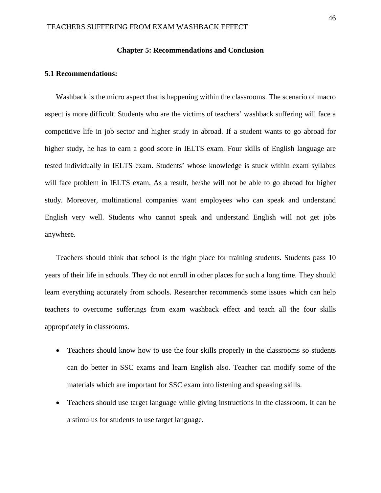#### **Chapter 5: Recommendations and Conclusion**

#### **5.1 Recommendations:**

Washback is the micro aspect that is happening within the classrooms. The scenario of macro aspect is more difficult. Students who are the victims of teachers' washback suffering will face a competitive life in job sector and higher study in abroad. If a student wants to go abroad for higher study, he has to earn a good score in IELTS exam. Four skills of English language are tested individually in IELTS exam. Students' whose knowledge is stuck within exam syllabus will face problem in IELTS exam. As a result, he/she will not be able to go abroad for higher study. Moreover, multinational companies want employees who can speak and understand English very well. Students who cannot speak and understand English will not get jobs anywhere.

Teachers should think that school is the right place for training students. Students pass 10 years of their life in schools. They do not enroll in other places for such a long time. They should learn everything accurately from schools. Researcher recommends some issues which can help teachers to overcome sufferings from exam washback effect and teach all the four skills appropriately in classrooms.

- Teachers should know how to use the four skills properly in the classrooms so students can do better in SSC exams and learn English also. Teacher can modify some of the materials which are important for SSC exam into listening and speaking skills.
- Teachers should use target language while giving instructions in the classroom. It can be a stimulus for students to use target language.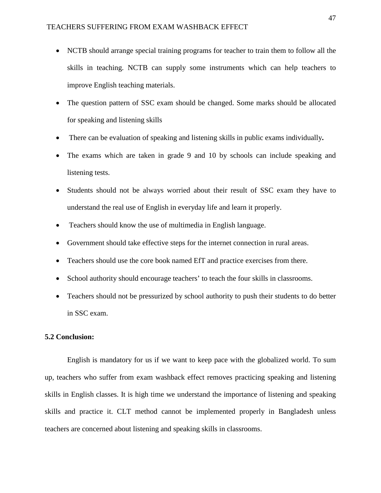- NCTB should arrange special training programs for teacher to train them to follow all the skills in teaching. NCTB can supply some instruments which can help teachers to improve English teaching materials.
- The question pattern of SSC exam should be changed. Some marks should be allocated for speaking and listening skills
- There can be evaluation of speaking and listening skills in public exams individually**.**
- The exams which are taken in grade 9 and 10 by schools can include speaking and listening tests.
- Students should not be always worried about their result of SSC exam they have to understand the real use of English in everyday life and learn it properly.
- Teachers should know the use of multimedia in English language.
- Government should take effective steps for the internet connection in rural areas.
- Teachers should use the core book named EfT and practice exercises from there.
- School authority should encourage teachers' to teach the four skills in classrooms.
- Teachers should not be pressurized by school authority to push their students to do better in SSC exam.

#### **5.2 Conclusion:**

English is mandatory for us if we want to keep pace with the globalized world. To sum up, teachers who suffer from exam washback effect removes practicing speaking and listening skills in English classes. It is high time we understand the importance of listening and speaking skills and practice it. CLT method cannot be implemented properly in Bangladesh unless teachers are concerned about listening and speaking skills in classrooms.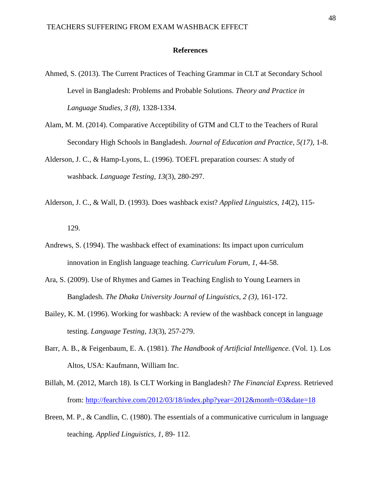#### **References**

- Ahmed, S. (2013). The Current Practices of Teaching Grammar in CLT at Secondary School Level in Bangladesh: Problems and Probable Solutions. *Theory and Practice in Language Studies, 3 (8),* 1328-1334.
- Alam, M. M. (2014). Comparative Acceptibility of GTM and CLT to the Teachers of Rural Secondary High Schools in Bangladesh. *Journal of Education and Practice, 5(17),* 1-8.
- Alderson, J. C., & Hamp-Lyons, L. (1996). TOEFL preparation courses: A study of washback. *Language Testing, 13*(3), 280-297.
- Alderson, J. C., & Wall, D. (1993). Does washback exist? *Applied Linguistics, 14*(2), 115-

129.

- Andrews, S. (1994). The washback effect of examinations: Its impact upon curriculum innovation in English language teaching. *Curriculum Forum, 1*, 44-58.
- Ara, S. (2009). Use of Rhymes and Games in Teaching English to Young Learners in Bangladesh. *The Dhaka University Journal of Linguistics, 2 (3),* 161-172.
- Bailey, K. M. (1996). Working for washback: A review of the washback concept in language testing. *Language Testing, 13*(3), 257-279.
- Barr, A. B., & Feigenbaum, E. A. (1981). *The Handbook of Artificial Intelligence.* (Vol. 1). Los Altos, USA: Kaufmann, William Inc.
- Billah, M. (2012, March 18). Is CLT Working in Bangladesh? *The Financial Express.* Retrieved from:<http://fearchive.com/2012/03/18/index.php?year=2012&month=03&date=18>
- Breen, M. P., & Candlin, C. (1980). The essentials of a communicative curriculum in language teaching. *Applied Linguistics, 1,* 89- 112.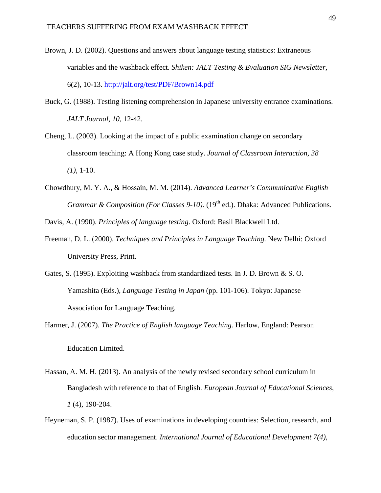- Brown, J. D. (2002). Questions and answers about language testing statistics: Extraneous variables and the washback effect. *Shiken: JALT Testing & Evaluation SIG Newsletter*, 6(2), 10-13.<http://jalt.org/test/PDF/Brown14.pdf>
- Buck, G. (1988). Testing listening comprehension in Japanese university entrance examinations. *JALT Journal, 10*, 12-42.
- Cheng, L. (2003). Looking at the impact of a public examination change on secondary classroom teaching: A Hong Kong case study. *Journal of Classroom Interaction, 38 (1),* 1-10.
- Chowdhury, M. Y. A., & Hossain, M. M. (2014). *Advanced Learner's Communicative English* Grammar & Composition (For Classes 9-10). (19<sup>th</sup> ed.). Dhaka: Advanced Publications.

Davis, A. (1990). *Principles of language testing*. Oxford: Basil Blackwell Ltd.

- Freeman, D. L. (2000). *Techniques and Principles in Language Teaching.* New Delhi: Oxford University Press, Print.
- Gates, S. (1995). Exploiting washback from standardized tests. In J. D. Brown & S. O. Yamashita (Eds.), *Language Testing in Japan* (pp. 101-106). Tokyo: Japanese Association for Language Teaching.
- Harmer, J. (2007). *The Practice of English language Teaching.* Harlow, England: Pearson Education Limited.
- Hassan, A. M. H. (2013). An analysis of the newly revised secondary school curriculum in Bangladesh with reference to that of English. *European Journal of Educational Sciences*, *1* (4), 190-204.
- education sector management. *International Journal of Educational Development 7(4),* Heyneman, S. P. (1987). Uses of examinations in developing countries: Selection, research, and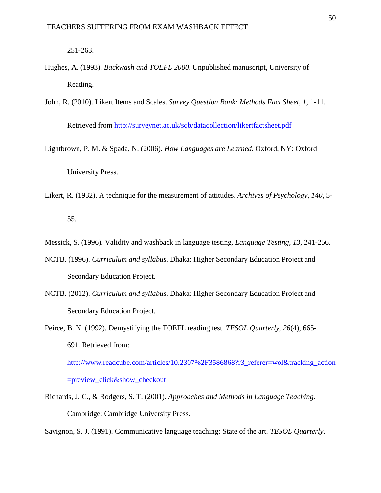251-263.

- Hughes, A. (1993). *Backwash and TOEFL 2000*. Unpublished manuscript, University of Reading.
- John, R. (2010). Likert Items and Scales. *Survey Question Bank: Methods Fact Sheet, 1,* 1-11. Retrieved from<http://surveynet.ac.uk/sqb/datacollection/likertfactsheet.pdf>
- Lightbrown, P. M. & Spada, N. (2006). *How Languages are Learned.* Oxford, NY: Oxford University Press.
- Likert, R. (1932). A technique for the measurement of attitudes. *Archives of Psychology, 140,* 5-

55.

- Messick, S. (1996). Validity and washback in language testing. *Language Testing, 13,* 241-256.
- NCTB. (1996). *Curriculum and syllabus.* Dhaka: Higher Secondary Education Project and Secondary Education Project.
- NCTB. (2012). *Curriculum and syllabus.* Dhaka: Higher Secondary Education Project and Secondary Education Project.
- Peirce, B. N. (1992). Demystifying the TOEFL reading test. *TESOL Quarterly, 26*(4), 665- 691. Retrieved from:

[http://www.readcube.com/articles/10.2307%2F3586868?r3\\_referer=wol&tracking\\_action](http://www.readcube.com/articles/10.2307%2F3586868?r3_referer=wol&tracking_action=preview_click&show_checkout) [=preview\\_click&show\\_checkout](http://www.readcube.com/articles/10.2307%2F3586868?r3_referer=wol&tracking_action=preview_click&show_checkout)

Richards, J. C., & Rodgers, S. T. (2001). *Approaches and Methods in Language Teaching.* Cambridge: Cambridge University Press.

Savignon, S. J. (1991). Communicative language teaching: State of the art. *TESOL Quarterly,*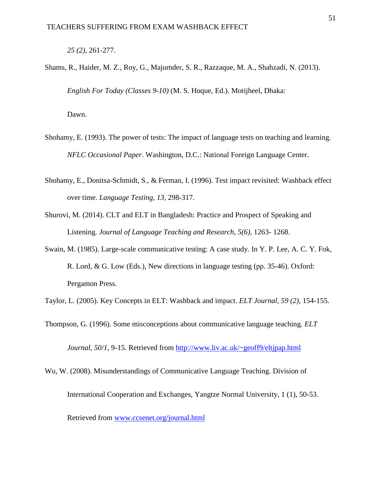*25 (2),* 261-277.

Shams, R., Haider, M. Z., Roy, G., Majumder, S. R., Razzaque, M. A., Shahzadi, N. (2013). *English For Today (Classes 9-10)* (M. S. Hoque, Ed.). Motijheel, Dhaka:

Dawn.

- Shohamy, E. (1993). The power of tests: The impact of language tests on teaching and learning. *NFLC Occasional Paper*. Washington, D.C.: National Foreign Language Center.
- Shohamy, E., Donitsa-Schmidt, S., & Ferman, I. (1996). Test impact revisited: Washback effect over time. *Language Testing, 13,* 298-317.
- Shurovi, M. (2014). CLT and ELT in Bangladesh: Practice and Prospect of Speaking and Listening. *Journal of Language Teaching and Research, 5(6),* 1263- 1268.
- Swain, M. (1985). Large-scale communicative testing: A case study. In Y. P. Lee, A. C. Y. Fok, R. Lord, & G. Low (Eds.), New directions in language testing (pp. 35-46). Oxford: Pergamon Press.

Taylor, L. (2005). Key Concepts in ELT: Washback and impact. *ELT Journal, 59 (2),* 154-155.

- Thompson, G. (1996). Some misconceptions about communicative language teaching. *ELT Journal, 50/1, 9-15.* Retrieved from<http://www.liv.ac.uk/~geoff9/eltjpap.html>
- Wu, W. (2008). Misunderstandings of Communicative Language Teaching. Division of International Cooperation and Exchanges, Yangtze Normal University, 1 (1), 50-53. Retrieved from [www.ccsenet.org/journal.html](http://www.ccsenet.org/journal.html)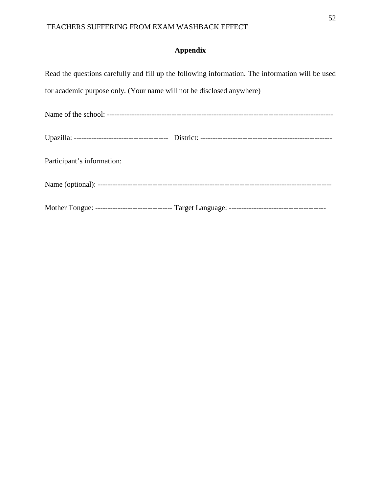# **Appendix**

| Read the questions carefully and fill up the following information. The information will be used |
|--------------------------------------------------------------------------------------------------|
| for academic purpose only. (Your name will not be disclosed anywhere)                            |
|                                                                                                  |
|                                                                                                  |
| Participant's information:                                                                       |
|                                                                                                  |
|                                                                                                  |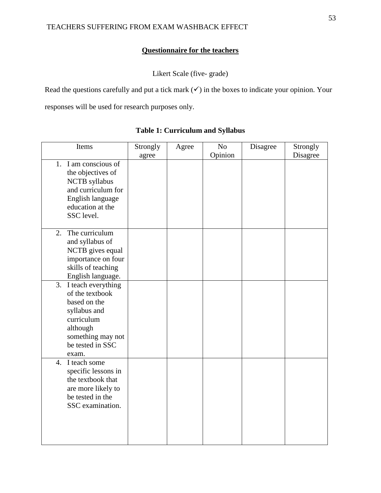# **Questionnaire for the teachers**

Likert Scale (five- grade)

Read the questions carefully and put a tick mark  $(\checkmark)$  in the boxes to indicate your opinion. Your responses will be used for research purposes only.

| Items                 | Strongly | Agree | No      | Disagree | Strongly |
|-----------------------|----------|-------|---------|----------|----------|
|                       | agree    |       | Opinion |          | Disagree |
| 1. I am conscious of  |          |       |         |          |          |
| the objectives of     |          |       |         |          |          |
| <b>NCTB</b> syllabus  |          |       |         |          |          |
| and curriculum for    |          |       |         |          |          |
| English language      |          |       |         |          |          |
| education at the      |          |       |         |          |          |
| SSC level.            |          |       |         |          |          |
|                       |          |       |         |          |          |
| The curriculum<br>2.  |          |       |         |          |          |
| and syllabus of       |          |       |         |          |          |
| NCTB gives equal      |          |       |         |          |          |
| importance on four    |          |       |         |          |          |
| skills of teaching    |          |       |         |          |          |
| English language.     |          |       |         |          |          |
| 3. I teach everything |          |       |         |          |          |
| of the textbook       |          |       |         |          |          |
| based on the          |          |       |         |          |          |
| syllabus and          |          |       |         |          |          |
| curriculum            |          |       |         |          |          |
| although              |          |       |         |          |          |
| something may not     |          |       |         |          |          |
| be tested in SSC      |          |       |         |          |          |
| exam.                 |          |       |         |          |          |
| 4. I teach some       |          |       |         |          |          |
| specific lessons in   |          |       |         |          |          |
| the textbook that     |          |       |         |          |          |
| are more likely to    |          |       |         |          |          |
| be tested in the      |          |       |         |          |          |
| SSC examination.      |          |       |         |          |          |
|                       |          |       |         |          |          |
|                       |          |       |         |          |          |
|                       |          |       |         |          |          |

### **Table 1: Curriculum and Syllabus**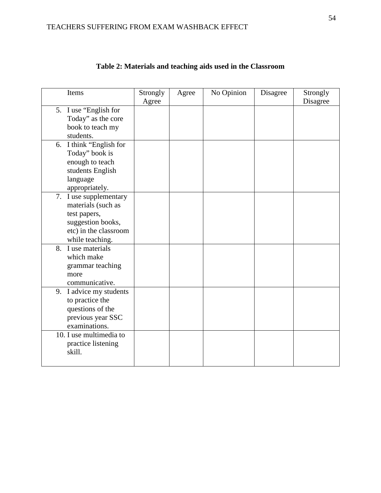| Items                   | Strongly | Agree | No Opinion | Disagree | Strongly |
|-------------------------|----------|-------|------------|----------|----------|
|                         | Agree    |       |            |          | Disagree |
| 5. I use "English for   |          |       |            |          |          |
| Today" as the core      |          |       |            |          |          |
| book to teach my        |          |       |            |          |          |
| students.               |          |       |            |          |          |
| 6. I think "English for |          |       |            |          |          |
| Today" book is          |          |       |            |          |          |
| enough to teach         |          |       |            |          |          |
| students English        |          |       |            |          |          |
| language                |          |       |            |          |          |
| appropriately.          |          |       |            |          |          |
| 7. I use supplementary  |          |       |            |          |          |
| materials (such as      |          |       |            |          |          |
| test papers,            |          |       |            |          |          |
| suggestion books,       |          |       |            |          |          |
| etc) in the classroom   |          |       |            |          |          |
| while teaching.         |          |       |            |          |          |
| 8. I use materials      |          |       |            |          |          |
| which make              |          |       |            |          |          |
| grammar teaching        |          |       |            |          |          |
| more                    |          |       |            |          |          |
| communicative.          |          |       |            |          |          |
|                         |          |       |            |          |          |
| 9. I advice my students |          |       |            |          |          |
| to practice the         |          |       |            |          |          |
| questions of the        |          |       |            |          |          |
| previous year SSC       |          |       |            |          |          |
| examinations.           |          |       |            |          |          |
| 10. I use multimedia to |          |       |            |          |          |
| practice listening      |          |       |            |          |          |
| skill.                  |          |       |            |          |          |
|                         |          |       |            |          |          |

# **Table 2: Materials and teaching aids used in the Classroom**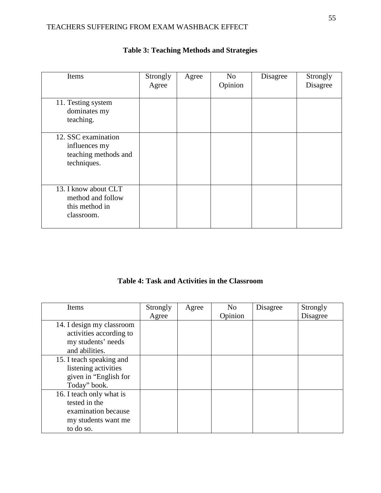## TEACHERS SUFFERING FROM EXAM WASHBACK EFFECT

| Items                                                                       | Strongly<br>Agree | Agree | N <sub>o</sub><br>Opinion | Disagree | Strongly<br>Disagree |
|-----------------------------------------------------------------------------|-------------------|-------|---------------------------|----------|----------------------|
| 11. Testing system<br>dominates my<br>teaching.                             |                   |       |                           |          |                      |
| 12. SSC examination<br>influences my<br>teaching methods and<br>techniques. |                   |       |                           |          |                      |
| 13. I know about CLT<br>method and follow<br>this method in<br>classroom.   |                   |       |                           |          |                      |

# **Table 3: Teaching Methods and Strategies**

**Table 4: Task and Activities in the Classroom**

| Items                     | Strongly | Agree | N <sub>0</sub> | Disagree | Strongly |
|---------------------------|----------|-------|----------------|----------|----------|
|                           | Agree    |       | Opinion        |          | Disagree |
| 14. I design my classroom |          |       |                |          |          |
| activities according to   |          |       |                |          |          |
| my students' needs        |          |       |                |          |          |
| and abilities.            |          |       |                |          |          |
| 15. I teach speaking and  |          |       |                |          |          |
| listening activities      |          |       |                |          |          |
| given in "English for     |          |       |                |          |          |
| Today" book.              |          |       |                |          |          |
| 16. I teach only what is  |          |       |                |          |          |
| tested in the             |          |       |                |          |          |
| examination because       |          |       |                |          |          |
| my students want me       |          |       |                |          |          |
| to do so.                 |          |       |                |          |          |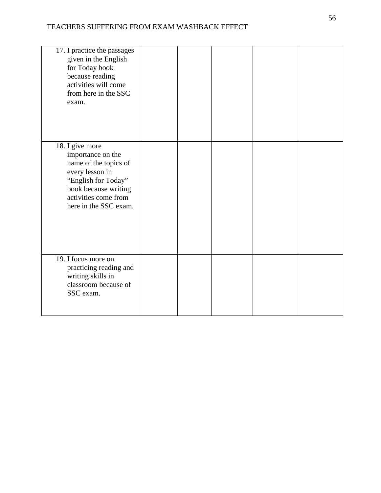| 17. I practice the passages<br>given in the English<br>for Today book<br>because reading<br>activities will come<br>from here in the SSC<br>exam.                                |  |  |  |
|----------------------------------------------------------------------------------------------------------------------------------------------------------------------------------|--|--|--|
| 18. I give more<br>importance on the<br>name of the topics of<br>every lesson in<br>"English for Today"<br>book because writing<br>activities come from<br>here in the SSC exam. |  |  |  |
| 19. I focus more on<br>practicing reading and<br>writing skills in<br>classroom because of<br>SSC exam.                                                                          |  |  |  |